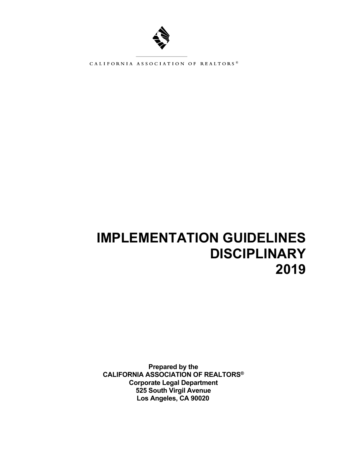

CALIFORNIA ASSOCIATION OF REALTORS®

# **IMPLEMENTATION GUIDELINES DISCIPLINARY 2019**

**Prepared by the CALIFORNIA ASSOCIATION OF REALTORS® Corporate Legal Department 525 South Virgil Avenue Los Angeles, CA 90020**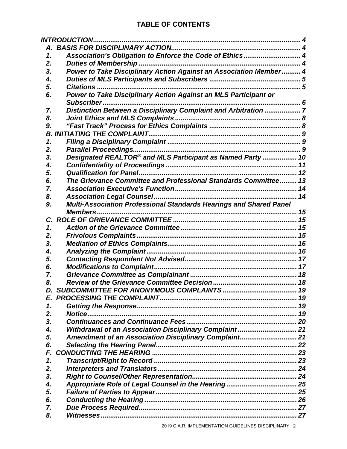# **TABLE OF CONTENTS**

|          | <b>INTRODUCTION.</b>                                               |  |
|----------|--------------------------------------------------------------------|--|
|          |                                                                    |  |
| 1.       | Association's Obligation to Enforce the Code of Ethics 4           |  |
| 2.       |                                                                    |  |
| 3.       | Power to Take Disciplinary Action Against an Association Member 4  |  |
| 4.       |                                                                    |  |
| 5.       | <b>Citations</b>                                                   |  |
| 6.       | Power to Take Disciplinary Action Against an MLS Participant or    |  |
|          |                                                                    |  |
| 7.       | Distinction Between a Disciplinary Complaint and Arbitration 7     |  |
| 8.       |                                                                    |  |
| 9.       |                                                                    |  |
|          |                                                                    |  |
| 1.       |                                                                    |  |
| 2.       |                                                                    |  |
| 3.       | Designated REALTOR® and MLS Participant as Named Party  10         |  |
| 4.       |                                                                    |  |
| 5.       |                                                                    |  |
| 6.       | The Grievance Committee and Professional Standards Committee 13    |  |
| 7.       |                                                                    |  |
| 8.       |                                                                    |  |
| 9.       | Multi-Association Professional Standards Hearings and Shared Panel |  |
|          |                                                                    |  |
| C.       |                                                                    |  |
| 1.       |                                                                    |  |
| 2.       |                                                                    |  |
| 3.       |                                                                    |  |
| 4.       |                                                                    |  |
| 5.       |                                                                    |  |
| 6.       |                                                                    |  |
| 7.       |                                                                    |  |
| 8.       |                                                                    |  |
| D.       |                                                                    |  |
|          |                                                                    |  |
| 1.<br>2. |                                                                    |  |
| 3.       |                                                                    |  |
| 4.       | Withdrawal of an Association Disciplinary Complaint 21             |  |
| 5.       | Amendment of an Association Disciplinary Complaint 21              |  |
| 6.       |                                                                    |  |
| F.       |                                                                    |  |
| 1.       |                                                                    |  |
| 2.       |                                                                    |  |
| 3.       |                                                                    |  |
| 4.       |                                                                    |  |
| 5.       |                                                                    |  |
| 6.       |                                                                    |  |
| 7.       |                                                                    |  |
| 8.       |                                                                    |  |
|          |                                                                    |  |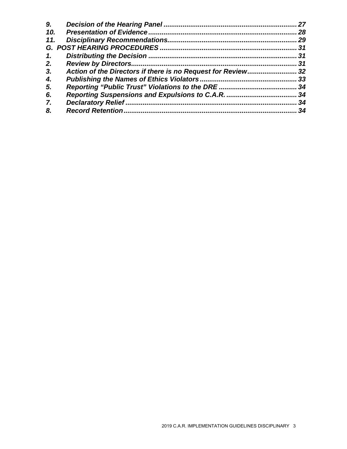|     | 27   |
|-----|------|
| 10. | 28   |
| 11. | 29   |
|     |      |
|     |      |
|     | 31   |
|     |      |
|     |      |
|     | . 34 |
|     |      |
|     | 34   |
|     | 34   |
|     |      |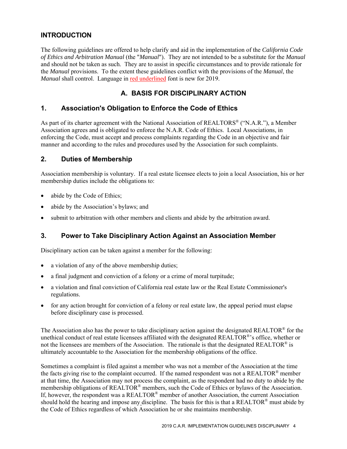# **INTRODUCTION**

The following guidelines are offered to help clarify and aid in the implementation of the *California Code of Ethics and Arbitration Manual* (the "*Manual*"). They are not intended to be a substitute for the *Manual* and should not be taken as such. They are to assist in specific circumstances and to provide rationale for the *Manual* provisions. To the extent these guidelines conflict with the provisions of the *Manual*, the *Manual* shall control. Language in red underlined font is new for 2019.

# **A. BASIS FOR DISCIPLINARY ACTION**

#### **1. Association's Obligation to Enforce the Code of Ethics**

As part of its charter agreement with the National Association of REALTORS<sup>®</sup> ("N.A.R."), a Member Association agrees and is obligated to enforce the N.A.R. Code of Ethics. Local Associations, in enforcing the Code, must accept and process complaints regarding the Code in an objective and fair manner and according to the rules and procedures used by the Association for such complaints.

#### **2. Duties of Membership**

Association membership is voluntary. If a real estate licensee elects to join a local Association, his or her membership duties include the obligations to:

- abide by the Code of Ethics;
- abide by the Association's bylaws; and
- submit to arbitration with other members and clients and abide by the arbitration award.

# **3. Power to Take Disciplinary Action Against an Association Member**

Disciplinary action can be taken against a member for the following:

- a violation of any of the above membership duties;
- a final judgment and conviction of a felony or a crime of moral turpitude;
- a violation and final conviction of California real estate law or the Real Estate Commissioner's regulations.
- for any action brought for conviction of a felony or real estate law, the appeal period must elapse before disciplinary case is processed.

The Association also has the power to take disciplinary action against the designated REALTOR® for the unethical conduct of real estate licensees affiliated with the designated REALTOR®'s office, whether or not the licensees are members of the Association. The rationale is that the designated REALTOR® is ultimately accountable to the Association for the membership obligations of the office.

Sometimes a complaint is filed against a member who was not a member of the Association at the time the facts giving rise to the complaint occurred. If the named respondent was not a REALTOR<sup>®</sup> member at that time, the Association may not process the complaint, as the respondent had no duty to abide by the membership obligations of REALTOR® members, such the Code of Ethics or bylaws of the Association. If, however, the respondent was a REALTOR® member of another Association, the current Association should hold the hearing and impose any discipline. The basis for this is that a REALTOR® must abide by the Code of Ethics regardless of which Association he or she maintains membership.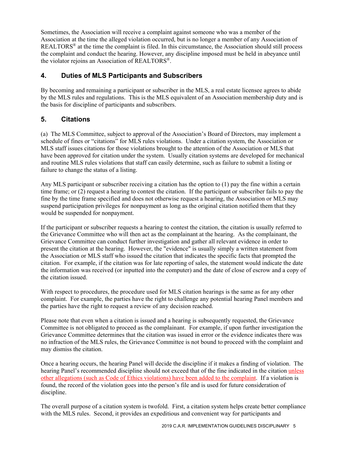Sometimes, the Association will receive a complaint against someone who was a member of the Association at the time the alleged violation occurred, but is no longer a member of any Association of REALTORS® at the time the complaint is filed. In this circumstance, the Association should still process the complaint and conduct the hearing. However, any discipline imposed must be held in abeyance until the violator rejoins an Association of REALTORS®.

#### **4. Duties of MLS Participants and Subscribers**

By becoming and remaining a participant or subscriber in the MLS, a real estate licensee agrees to abide by the MLS rules and regulations. This is the MLS equivalent of an Association membership duty and is the basis for discipline of participants and subscribers.

#### **5. Citations**

(a) The MLS Committee, subject to approval of the Association's Board of Directors, may implement a schedule of fines or "citations" for MLS rules violations. Under a citation system, the Association or MLS staff issues citations for those violations brought to the attention of the Association or MLS that have been approved for citation under the system. Usually citation systems are developed for mechanical and routine MLS rules violations that staff can easily determine, such as failure to submit a listing or failure to change the status of a listing.

Any MLS participant or subscriber receiving a citation has the option to (1) pay the fine within a certain time frame; or (2) request a hearing to contest the citation. If the participant or subscriber fails to pay the fine by the time frame specified and does not otherwise request a hearing, the Association or MLS may suspend participation privileges for nonpayment as long as the original citation notified them that they would be suspended for nonpayment.

If the participant or subscriber requests a hearing to contest the citation, the citation is usually referred to the Grievance Committee who will then act as the complainant at the hearing. As the complainant, the Grievance Committee can conduct further investigation and gather all relevant evidence in order to present the citation at the hearing. However, the "evidence" is usually simply a written statement from the Association or MLS staff who issued the citation that indicates the specific facts that prompted the citation. For example, if the citation was for late reporting of sales, the statement would indicate the date the information was received (or inputted into the computer) and the date of close of escrow and a copy of the citation issued.

With respect to procedures, the procedure used for MLS citation hearings is the same as for any other complaint. For example, the parties have the right to challenge any potential hearing Panel members and the parties have the right to request a review of any decision reached.

Please note that even when a citation is issued and a hearing is subsequently requested, the Grievance Committee is not obligated to proceed as the complainant. For example, if upon further investigation the Grievance Committee determines that the citation was issued in error or the evidence indicates there was no infraction of the MLS rules, the Grievance Committee is not bound to proceed with the complaint and may dismiss the citation.

Once a hearing occurs, the hearing Panel will decide the discipline if it makes a finding of violation. The hearing Panel's recommended discipline should not exceed that of the fine indicated in the citation unless other allegations (such as Code of Ethics violations) have been added to the complaint. If a violation is found, the record of the violation goes into the person's file and is used for future consideration of discipline.

The overall purpose of a citation system is twofold. First, a citation system helps create better compliance with the MLS rules. Second, it provides an expeditious and convenient way for participants and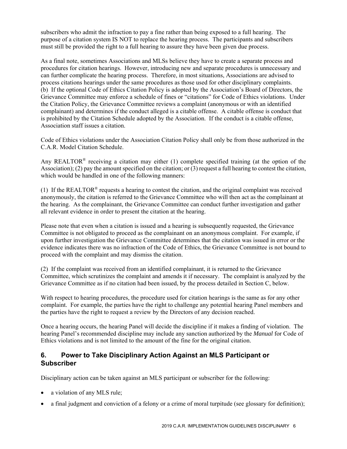subscribers who admit the infraction to pay a fine rather than being exposed to a full hearing. The purpose of a citation system IS NOT to replace the hearing process. The participants and subscribers must still be provided the right to a full hearing to assure they have been given due process.

As a final note, sometimes Associations and MLSs believe they have to create a separate process and procedures for citation hearings. However, introducing new and separate procedures is unnecessary and can further complicate the hearing process. Therefore, in most situations, Associations are advised to process citations hearings under the same procedures as those used for other disciplinary complaints. (b) If the optional Code of Ethics Citation Policy is adopted by the Association's Board of Directors, the Grievance Committee may enforce a schedule of fines or "citations" for Code of Ethics violations. Under the Citation Policy, the Grievance Committee reviews a complaint (anonymous or with an identified complainant) and determines if the conduct alleged is a citable offense. A citable offense is conduct that is prohibited by the Citation Schedule adopted by the Association. If the conduct is a citable offense, Association staff issues a citation.

Code of Ethics violations under the Association Citation Policy shall only be from those authorized in the C.A.R. Model Citation Schedule.

Any REALTOR<sup>®</sup> receiving a citation may either (1) complete specified training (at the option of the Association); (2) pay the amount specified on the citation; or  $(3)$  request a full hearing to contest the citation, which would be handled in one of the following manners:

(1) If the REALTOR<sup>®</sup> requests a hearing to contest the citation, and the original complaint was received anonymously, the citation is referred to the Grievance Committee who will then act as the complainant at the hearing. As the complainant, the Grievance Committee can conduct further investigation and gather all relevant evidence in order to present the citation at the hearing.

Please note that even when a citation is issued and a hearing is subsequently requested, the Grievance Committee is not obligated to proceed as the complainant on an anonymous complaint. For example, if upon further investigation the Grievance Committee determines that the citation was issued in error or the evidence indicates there was no infraction of the Code of Ethics, the Grievance Committee is not bound to proceed with the complaint and may dismiss the citation.

(2) If the complaint was received from an identified complainant, it is returned to the Grievance Committee, which scrutinizes the complaint and amends it if necessary. The complaint is analyzed by the Grievance Committee as if no citation had been issued, by the process detailed in Section C, below.

With respect to hearing procedures, the procedure used for citation hearings is the same as for any other complaint. For example, the parties have the right to challenge any potential hearing Panel members and the parties have the right to request a review by the Directors of any decision reached.

Once a hearing occurs, the hearing Panel will decide the discipline if it makes a finding of violation. The hearing Panel's recommended discipline may include any sanction authorized by the *Manual* for Code of Ethics violations and is not limited to the amount of the fine for the original citation.

#### **6. Power to Take Disciplinary Action Against an MLS Participant or Subscriber**

Disciplinary action can be taken against an MLS participant or subscriber for the following:

- a violation of any MLS rule;
- a final judgment and conviction of a felony or a crime of moral turpitude (see glossary for definition);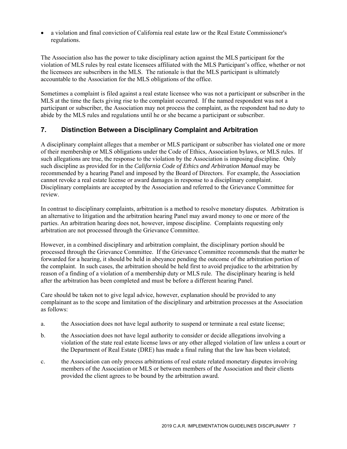a violation and final conviction of California real estate law or the Real Estate Commissioner's regulations.

The Association also has the power to take disciplinary action against the MLS participant for the violation of MLS rules by real estate licensees affiliated with the MLS Participant's office, whether or not the licensees are subscribers in the MLS. The rationale is that the MLS participant is ultimately accountable to the Association for the MLS obligations of the office.

Sometimes a complaint is filed against a real estate licensee who was not a participant or subscriber in the MLS at the time the facts giving rise to the complaint occurred. If the named respondent was not a participant or subscriber, the Association may not process the complaint, as the respondent had no duty to abide by the MLS rules and regulations until he or she became a participant or subscriber.

#### **7. Distinction Between a Disciplinary Complaint and Arbitration**

A disciplinary complaint alleges that a member or MLS participant or subscriber has violated one or more of their membership or MLS obligations under the Code of Ethics, Association bylaws, or MLS rules. If such allegations are true, the response to the violation by the Association is imposing discipline. Only such discipline as provided for in the *California Code of Ethics and Arbitration Manual* may be recommended by a hearing Panel and imposed by the Board of Directors. For example, the Association cannot revoke a real estate license or award damages in response to a disciplinary complaint. Disciplinary complaints are accepted by the Association and referred to the Grievance Committee for review.

In contrast to disciplinary complaints, arbitration is a method to resolve monetary disputes. Arbitration is an alternative to litigation and the arbitration hearing Panel may award money to one or more of the parties. An arbitration hearing does not, however, impose discipline. Complaints requesting only arbitration are not processed through the Grievance Committee.

However, in a combined disciplinary and arbitration complaint, the disciplinary portion should be processed through the Grievance Committee. If the Grievance Committee recommends that the matter be forwarded for a hearing, it should be held in abeyance pending the outcome of the arbitration portion of the complaint. In such cases, the arbitration should be held first to avoid prejudice to the arbitration by reason of a finding of a violation of a membership duty or MLS rule. The disciplinary hearing is held after the arbitration has been completed and must be before a different hearing Panel.

Care should be taken not to give legal advice, however, explanation should be provided to any complainant as to the scope and limitation of the disciplinary and arbitration processes at the Association as follows:

- a. the Association does not have legal authority to suspend or terminate a real estate license;
- b. the Association does not have legal authority to consider or decide allegations involving a violation of the state real estate license laws or any other alleged violation of law unless a court or the Department of Real Estate (DRE) has made a final ruling that the law has been violated;
- c. the Association can only process arbitrations of real estate related monetary disputes involving members of the Association or MLS or between members of the Association and their clients provided the client agrees to be bound by the arbitration award.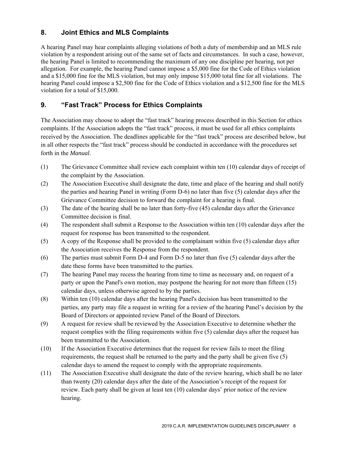# **8. Joint Ethics and MLS Complaints**

A hearing Panel may hear complaints alleging violations of both a duty of membership and an MLS rule violation by a respondent arising out of the same set of facts and circumstances. In such a case, however, the hearing Panel is limited to recommending the maximum of any one discipline per hearing, not per allegation. For example, the hearing Panel cannot impose a \$5,000 fine for the Code of Ethics violation and a \$15,000 fine for the MLS violation, but may only impose \$15,000 total fine for all violations. The hearing Panel could impose a \$2,500 fine for the Code of Ethics violation and a \$12,500 fine for the MLS violation for a total of \$15,000.

#### **9. "Fast Track" Process for Ethics Complaints**

The Association may choose to adopt the "fast track" hearing process described in this Section for ethics complaints. If the Association adopts the "fast track" process, it must be used for all ethics complaints received by the Association. The deadlines applicable for the "fast track" process are described below, but in all other respects the "fast track" process should be conducted in accordance with the procedures set forth in the *Manual*.

- (1) The Grievance Committee shall review each complaint within ten (10) calendar days of receipt of the complaint by the Association.
- (2) The Association Executive shall designate the date, time and place of the hearing and shall notify the parties and hearing Panel in writing (Form D-6) no later than five (5) calendar days after the Grievance Committee decision to forward the complaint for a hearing is final.
- (3) The date of the hearing shall be no later than forty-five (45) calendar days after the Grievance Committee decision is final.
- (4) The respondent shall submit a Response to the Association within ten (10) calendar days after the request for response has been transmitted to the respondent.
- (5) A copy of the Response shall be provided to the complainant within five (5) calendar days after the Association receives the Response from the respondent.
- (6) The parties must submit Form D-4 and Form D-5 no later than five (5) calendar days after the date these forms have been transmitted to the parties.
- (7) The hearing Panel may recess the hearing from time to time as necessary and, on request of a party or upon the Panel's own motion, may postpone the hearing for not more than fifteen (15) calendar days, unless otherwise agreed to by the parties.
- (8) Within ten (10) calendar days after the hearing Panel's decision has been transmitted to the parties, any party may file a request in writing for a review of the hearing Panel's decision by the Board of Directors or appointed review Panel of the Board of Directors.
- (9) A request for review shall be reviewed by the Association Executive to determine whether the request complies with the filing requirements within five (5) calendar days after the request has been transmitted to the Association.
- (10) If the Association Executive determines that the request for review fails to meet the filing requirements, the request shall be returned to the party and the party shall be given five (5) calendar days to amend the request to comply with the appropriate requirements.
- (11) The Association Executive shall designate the date of the review hearing, which shall be no later than twenty (20) calendar days after the date of the Association's receipt of the request for review. Each party shall be given at least ten (10) calendar days' prior notice of the review hearing.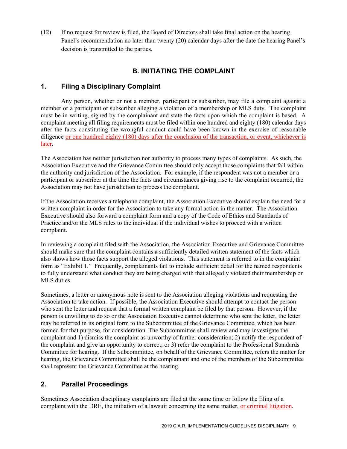(12) If no request for review is filed, the Board of Directors shall take final action on the hearing Panel's recommendation no later than twenty (20) calendar days after the date the hearing Panel's decision is transmitted to the parties.

# **B. INITIATING THE COMPLAINT**

#### **1. Filing a Disciplinary Complaint**

Any person, whether or not a member, participant or subscriber, may file a complaint against a member or a participant or subscriber alleging a violation of a membership or MLS duty. The complaint must be in writing, signed by the complainant and state the facts upon which the complaint is based. A complaint meeting all filing requirements must be filed within one hundred and eighty (180) calendar days after the facts constituting the wrongful conduct could have been known in the exercise of reasonable diligence or one hundred eighty (180) days after the conclusion of the transaction, or event, whichever is later.

The Association has neither jurisdiction nor authority to process many types of complaints. As such, the Association Executive and the Grievance Committee should only accept those complaints that fall within the authority and jurisdiction of the Association. For example, if the respondent was not a member or a participant or subscriber at the time the facts and circumstances giving rise to the complaint occurred, the Association may not have jurisdiction to process the complaint.

If the Association receives a telephone complaint, the Association Executive should explain the need for a written complaint in order for the Association to take any formal action in the matter. The Association Executive should also forward a complaint form and a copy of the Code of Ethics and Standards of Practice and/or the MLS rules to the individual if the individual wishes to proceed with a written complaint.

In reviewing a complaint filed with the Association, the Association Executive and Grievance Committee should make sure that the complaint contains a sufficiently detailed written statement of the facts which also shows how those facts support the alleged violations. This statement is referred to in the complaint form as "Exhibit 1." Frequently, complainants fail to include sufficient detail for the named respondents to fully understand what conduct they are being charged with that allegedly violated their membership or MLS duties.

Sometimes, a letter or anonymous note is sent to the Association alleging violations and requesting the Association to take action. If possible, the Association Executive should attempt to contact the person who sent the letter and request that a formal written complaint be filed by that person. However, if the person is unwilling to do so or the Association Executive cannot determine who sent the letter, the letter may be referred in its original form to the Subcommittee of the Grievance Committee, which has been formed for that purpose, for consideration. The Subcommittee shall review and may investigate the complaint and 1) dismiss the complaint as unworthy of further consideration; 2) notify the respondent of the complaint and give an opportunity to correct; or 3) refer the complaint to the Professional Standards Committee for hearing. If the Subcommittee, on behalf of the Grievance Committee, refers the matter for hearing, the Grievance Committee shall be the complainant and one of the members of the Subcommittee shall represent the Grievance Committee at the hearing.

#### **2. Parallel Proceedings**

Sometimes Association disciplinary complaints are filed at the same time or follow the filing of a complaint with the DRE, the initiation of a lawsuit concerning the same matter, or criminal litigation.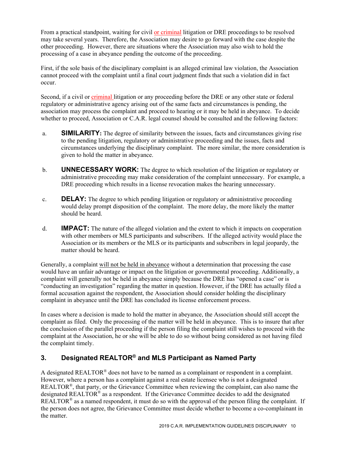From a practical standpoint, waiting for civil or criminal litigation or DRE proceedings to be resolved may take several years. Therefore, the Association may desire to go forward with the case despite the other proceeding. However, there are situations where the Association may also wish to hold the processing of a case in abeyance pending the outcome of the proceeding.

First, if the sole basis of the disciplinary complaint is an alleged criminal law violation, the Association cannot proceed with the complaint until a final court judgment finds that such a violation did in fact occur.

Second, if a civil or criminal litigation or any proceeding before the DRE or any other state or federal regulatory or administrative agency arising out of the same facts and circumstances is pending, the association may process the complaint and proceed to hearing or it may be held in abeyance. To decide whether to proceed, Association or C.A.R. legal counsel should be consulted and the following factors:

- a. **SIMILARITY:** The degree of similarity between the issues, facts and circumstances giving rise to the pending litigation, regulatory or administrative proceeding and the issues, facts and circumstances underlying the disciplinary complaint. The more similar, the more consideration is given to hold the matter in abeyance.
- b. **UNNECESSARY WORK:** The degree to which resolution of the litigation or regulatory or administrative proceeding may make consideration of the complaint unnecessary. For example, a DRE proceeding which results in a license revocation makes the hearing unnecessary.
- c. **DELAY:** The degree to which pending litigation or regulatory or administrative proceeding would delay prompt disposition of the complaint. The more delay, the more likely the matter should be heard.
- d. **IMPACT:** The nature of the alleged violation and the extent to which it impacts on cooperation with other members or MLS participants and subscribers. If the alleged activity would place the Association or its members or the MLS or its participants and subscribers in legal jeopardy, the matter should be heard.

Generally, a complaint will not be held in abeyance without a determination that processing the case would have an unfair advantage or impact on the litigation or governmental proceeding. Additionally, a complaint will generally not be held in abeyance simply because the DRE has "opened a case" or is "conducting an investigation" regarding the matter in question. However, if the DRE has actually filed a formal accusation against the respondent, the Association should consider holding the disciplinary complaint in abeyance until the DRE has concluded its license enforcement process.

In cases where a decision is made to hold the matter in abeyance, the Association should still accept the complaint as filed. Only the processing of the matter will be held in abeyance. This is to insure that after the conclusion of the parallel proceeding if the person filing the complaint still wishes to proceed with the complaint at the Association, he or she will be able to do so without being considered as not having filed the complaint timely.

# **3. Designated REALTOR® and MLS Participant as Named Party**

A designated REALTOR® does not have to be named as a complainant or respondent in a complaint. However, where a person has a complaint against a real estate licensee who is not a designated REALTOR®, that party, or the Grievance Committee when reviewing the complaint, can also name the designated REALTOR® as a respondent. If the Grievance Committee decides to add the designated REALTOR® as a named respondent, it must do so with the approval of the person filing the complaint. If the person does not agree, the Grievance Committee must decide whether to become a co-complainant in the matter.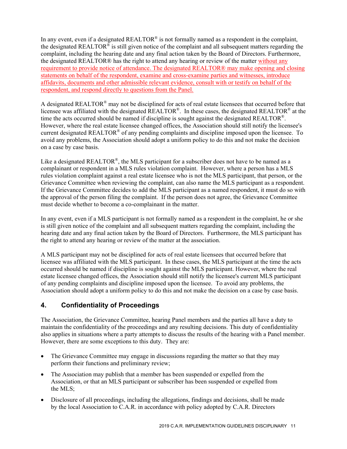In any event, even if a designated REALTOR<sup>®</sup> is not formally named as a respondent in the complaint, the designated REALTOR<sup>®</sup> is still given notice of the complaint and all subsequent matters regarding the complaint, including the hearing date and any final action taken by the Board of Directors. Furthermore, the designated REALTOR® has the right to attend any hearing or review of the matter without any requirement to provide notice of attendance. The designated REALTOR® may make opening and closing statements on behalf of the respondent, examine and cross-examine parties and witnesses, introduce affidavits, documents and other admissible relevant evidence, consult with or testify on behalf of the respondent, and respond directly to questions from the Panel.

A designated REALTOR® may not be disciplined for acts of real estate licensees that occurred before that licensee was affiliated with the designated REALTOR®. In these cases, the designated REALTOR® at the time the acts occurred should be named if discipline is sought against the designated REALTOR<sup>®</sup>. However, where the real estate licensee changed offices, the Association should still notify the licensee's current designated REALTOR® of any pending complaints and discipline imposed upon the licensee. To avoid any problems, the Association should adopt a uniform policy to do this and not make the decision on a case by case basis.

Like a designated REALTOR®, the MLS participant for a subscriber does not have to be named as a complainant or respondent in a MLS rules violation complaint. However, where a person has a MLS rules violation complaint against a real estate licensee who is not the MLS participant, that person, or the Grievance Committee when reviewing the complaint, can also name the MLS participant as a respondent. If the Grievance Committee decides to add the MLS participant as a named respondent, it must do so with the approval of the person filing the complaint. If the person does not agree, the Grievance Committee must decide whether to become a co-complainant in the matter.

In any event, even if a MLS participant is not formally named as a respondent in the complaint, he or she is still given notice of the complaint and all subsequent matters regarding the complaint, including the hearing date and any final action taken by the Board of Directors. Furthermore, the MLS participant has the right to attend any hearing or review of the matter at the association.

A MLS participant may not be disciplined for acts of real estate licensees that occurred before that licensee was affiliated with the MLS participant. In these cases, the MLS participant at the time the acts occurred should be named if discipline is sought against the MLS participant. However, where the real estate licensee changed offices, the Association should still notify the licensee's current MLS participant of any pending complaints and discipline imposed upon the licensee. To avoid any problems, the Association should adopt a uniform policy to do this and not make the decision on a case by case basis.

# **4. Confidentiality of Proceedings**

The Association, the Grievance Committee, hearing Panel members and the parties all have a duty to maintain the confidentiality of the proceedings and any resulting decisions. This duty of confidentiality also applies in situations where a party attempts to discuss the results of the hearing with a Panel member. However, there are some exceptions to this duty. They are:

- The Grievance Committee may engage in discussions regarding the matter so that they may perform their functions and preliminary review;
- The Association may publish that a member has been suspended or expelled from the Association, or that an MLS participant or subscriber has been suspended or expelled from the MLS;
- Disclosure of all proceedings, including the allegations, findings and decisions, shall be made by the local Association to C.A.R. in accordance with policy adopted by C.A.R. Directors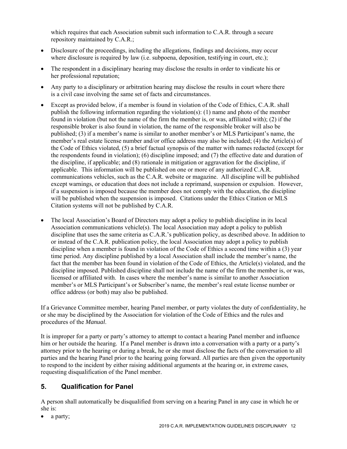which requires that each Association submit such information to C.A.R. through a secure repository maintained by C.A.R.;

- Disclosure of the proceedings, including the allegations, findings and decisions, may occur where disclosure is required by law (i.e. subpoena, deposition, testifying in court, etc.);
- The respondent in a disciplinary hearing may disclose the results in order to vindicate his or her professional reputation;
- Any party to a disciplinary or arbitration hearing may disclose the results in court where there is a civil case involving the same set of facts and circumstances.
- Except as provided below, if a member is found in violation of the Code of Ethics, C.A.R. shall publish the following information regarding the violation(s): (1) name and photo of the member found in violation (but not the name of the firm the member is, or was, affiliated with); (2) if the responsible broker is also found in violation, the name of the responsible broker will also be published; (3) if a member's name is similar to another member's or MLS Participant's name, the member's real estate license number and/or office address may also be included; (4) the Article(s) of the Code of Ethics violated, (5) a brief factual synopsis of the matter with names redacted (except for the respondents found in violation); (6) discipline imposed; and (7) the effective date and duration of the discipline, if applicable; and (8) rationale in mitigation or aggravation for the discipline, if applicable. This information will be published on one or more of any authorized C.A.R. communications vehicles, such as the C.A.R. website or magazine. All discipline will be published except warnings, or education that does not include a reprimand, suspension or expulsion. However, if a suspension is imposed because the member does not comply with the education, the discipline will be published when the suspension is imposed. Citations under the Ethics Citation or MLS Citation systems will not be published by C.A.R.
- The local Association's Board of Directors may adopt a policy to publish discipline in its local Association communications vehicle(s). The local Association may adopt a policy to publish discipline that uses the same criteria as C.A.R.'s publication policy, as described above. In addition to or instead of the C.A.R. publication policy, the local Association may adopt a policy to publish discipline when a member is found in violation of the Code of Ethics a second time within a (3) year time period. Any discipline published by a local Association shall include the member's name, the fact that the member has been found in violation of the Code of Ethics, the Article(s) violated, and the discipline imposed. Published discipline shall not include the name of the firm the member is, or was, licensed or affiliated with. In cases where the member's name is similar to another Association member's or MLS Participant's or Subscriber's name, the member's real estate license number or office address (or both) may also be published.

If a Grievance Committee member, hearing Panel member, or party violates the duty of confidentiality, he or she may be disciplined by the Association for violation of the Code of Ethics and the rules and procedures of the *Manual*.

It is improper for a party or party's attorney to attempt to contact a hearing Panel member and influence him or her outside the hearing. If a Panel member is drawn into a conversation with a party or a party's attorney prior to the hearing or during a break, he or she must disclose the facts of the conversation to all parties and the hearing Panel prior to the hearing going forward. All parties are then given the opportunity to respond to the incident by either raising additional arguments at the hearing or, in extreme cases, requesting disqualification of the Panel member.

# **5. Qualification for Panel**

A person shall automatically be disqualified from serving on a hearing Panel in any case in which he or she is:

a party;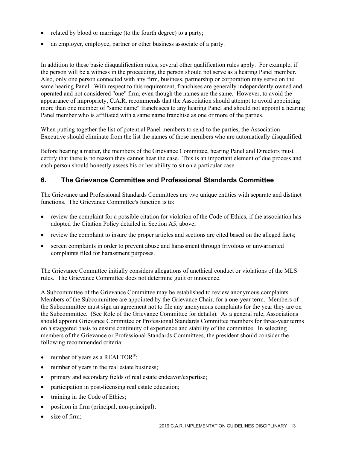- related by blood or marriage (to the fourth degree) to a party;
- an employer, employee, partner or other business associate of a party.

In addition to these basic disqualification rules, several other qualification rules apply. For example, if the person will be a witness in the proceeding, the person should not serve as a hearing Panel member. Also, only one person connected with any firm, business, partnership or corporation may serve on the same hearing Panel. With respect to this requirement, franchises are generally independently owned and operated and not considered "one" firm, even though the names are the same. However, to avoid the appearance of impropriety, C.A.R. recommends that the Association should attempt to avoid appointing more than one member of "same name" franchisees to any hearing Panel and should not appoint a hearing Panel member who is affiliated with a same name franchise as one or more of the parties.

When putting together the list of potential Panel members to send to the parties, the Association Executive should eliminate from the list the names of those members who are automatically disqualified.

Before hearing a matter, the members of the Grievance Committee, hearing Panel and Directors must certify that there is no reason they cannot hear the case. This is an important element of due process and each person should honestly assess his or her ability to sit on a particular case.

#### **6. The Grievance Committee and Professional Standards Committee**

The Grievance and Professional Standards Committees are two unique entities with separate and distinct functions. The Grievance Committee's function is to:

- review the complaint for a possible citation for violation of the Code of Ethics, if the association has adopted the Citation Policy detailed in Section A5, above;
- review the complaint to insure the proper articles and sections are cited based on the alleged facts;
- screen complaints in order to prevent abuse and harassment through frivolous or unwarranted complaints filed for harassment purposes.

The Grievance Committee initially considers allegations of unethical conduct or violations of the MLS rules. The Grievance Committee does not determine guilt or innocence.

A Subcommittee of the Grievance Committee may be established to review anonymous complaints. Members of the Subcommittee are appointed by the Grievance Chair, for a one-year term. Members of the Subcommittee must sign an agreement not to file any anonymous complaints for the year they are on the Subcommittee. (See Role of the Grievance Committee for details). As a general rule, Associations should appoint Grievance Committee or Professional Standards Committee members for three-year terms on a staggered basis to ensure continuity of experience and stability of the committee. In selecting members of the Grievance or Professional Standards Committees, the president should consider the following recommended criteria:

- number of years as a REALTOR<sup>®</sup>;
- number of years in the real estate business;
- primary and secondary fields of real estate endeavor/expertise;
- participation in post-licensing real estate education;
- training in the Code of Ethics;
- position in firm (principal, non-principal);
- size of firm;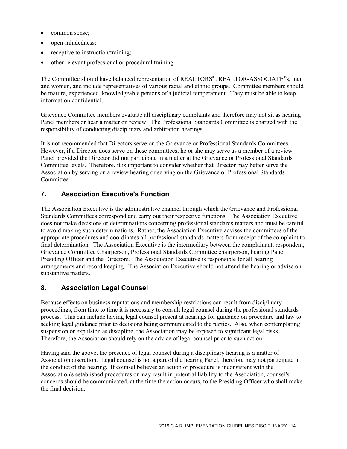- common sense;
- open-mindedness;
- receptive to instruction/training;
- other relevant professional or procedural training.

The Committee should have balanced representation of REALTORS®, REALTOR-ASSOCIATE®s, men and women, and include representatives of various racial and ethnic groups. Committee members should be mature, experienced, knowledgeable persons of a judicial temperament. They must be able to keep information confidential.

Grievance Committee members evaluate all disciplinary complaints and therefore may not sit as hearing Panel members or hear a matter on review. The Professional Standards Committee is charged with the responsibility of conducting disciplinary and arbitration hearings.

It is not recommended that Directors serve on the Grievance or Professional Standards Committees. However, if a Director does serve on these committees, he or she may serve as a member of a review Panel provided the Director did not participate in a matter at the Grievance or Professional Standards Committee levels. Therefore, it is important to consider whether that Director may better serve the Association by serving on a review hearing or serving on the Grievance or Professional Standards Committee.

#### **7. Association Executive's Function**

The Association Executive is the administrative channel through which the Grievance and Professional Standards Committees correspond and carry out their respective functions. The Association Executive does not make decisions or determinations concerning professional standards matters and must be careful to avoid making such determinations. Rather, the Association Executive advises the committees of the appropriate procedures and coordinates all professional standards matters from receipt of the complaint to final determination. The Association Executive is the intermediary between the complainant, respondent, Grievance Committee Chairperson, Professional Standards Committee chairperson, hearing Panel Presiding Officer and the Directors. The Association Executive is responsible for all hearing arrangements and record keeping. The Association Executive should not attend the hearing or advise on substantive matters.

#### **8. Association Legal Counsel**

Because effects on business reputations and membership restrictions can result from disciplinary proceedings, from time to time it is necessary to consult legal counsel during the professional standards process. This can include having legal counsel present at hearings for guidance on procedure and law to seeking legal guidance prior to decisions being communicated to the parties. Also, when contemplating suspension or expulsion as discipline, the Association may be exposed to significant legal risks. Therefore, the Association should rely on the advice of legal counsel prior to such action.

Having said the above, the presence of legal counsel during a disciplinary hearing is a matter of Association discretion. Legal counsel is not a part of the hearing Panel, therefore may not participate in the conduct of the hearing. If counsel believes an action or procedure is inconsistent with the Association's established procedures or may result in potential liability to the Association, counsel's concerns should be communicated, at the time the action occurs, to the Presiding Officer who shall make the final decision.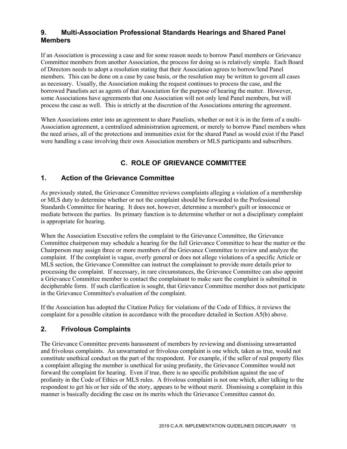# **9. Multi-Association Professional Standards Hearings and Shared Panel Members**

If an Association is processing a case and for some reason needs to borrow Panel members or Grievance Committee members from another Association, the process for doing so is relatively simple. Each Board of Directors needs to adopt a resolution stating that their Association agrees to borrow/lend Panel members. This can be done on a case by case basis, or the resolution may be written to govern all cases as necessary. Usually, the Association making the request continues to process the case, and the borrowed Panelists act as agents of that Association for the purpose of hearing the matter. However, some Associations have agreements that one Association will not only lend Panel members, but will process the case as well. This is strictly at the discretion of the Associations entering the agreement.

When Associations enter into an agreement to share Panelists, whether or not it is in the form of a multi-Association agreement, a centralized administration agreement, or merely to borrow Panel members when the need arises, all of the protections and immunities exist for the shared Panel as would exist if the Panel were handling a case involving their own Association members or MLS participants and subscribers.

# **C. ROLE OF GRIEVANCE COMMITTEE**

#### **1. Action of the Grievance Committee**

As previously stated, the Grievance Committee reviews complaints alleging a violation of a membership or MLS duty to determine whether or not the complaint should be forwarded to the Professional Standards Committee for hearing. It does not, however, determine a member's guilt or innocence or mediate between the parties. Its primary function is to determine whether or not a disciplinary complaint is appropriate for hearing.

When the Association Executive refers the complaint to the Grievance Committee, the Grievance Committee chairperson may schedule a hearing for the full Grievance Committee to hear the matter or the Chairperson may assign three or more members of the Grievance Committee to review and analyze the complaint. If the complaint is vague, overly general or does not allege violations of a specific Article or MLS section, the Grievance Committee can instruct the complainant to provide more details prior to processing the complaint. If necessary, in rare circumstances, the Grievance Committee can also appoint a Grievance Committee member to contact the complainant to make sure the complaint is submitted in decipherable form. If such clarification is sought, that Grievance Committee member does not participate in the Grievance Committee's evaluation of the complaint.

If the Association has adopted the Citation Policy for violations of the Code of Ethics, it reviews the complaint for a possible citation in accordance with the procedure detailed in Section A5(b) above.

# **2. Frivolous Complaints**

The Grievance Committee prevents harassment of members by reviewing and dismissing unwarranted and frivolous complaints. An unwarranted or frivolous complaint is one which, taken as true, would not constitute unethical conduct on the part of the respondent. For example, if the seller of real property files a complaint alleging the member is unethical for using profanity, the Grievance Committee would not forward the complaint for hearing. Even if true, there is no specific prohibition against the use of profanity in the Code of Ethics or MLS rules. A frivolous complaint is not one which, after talking to the respondent to get his or her side of the story, appears to be without merit. Dismissing a complaint in this manner is basically deciding the case on its merits which the Grievance Committee cannot do.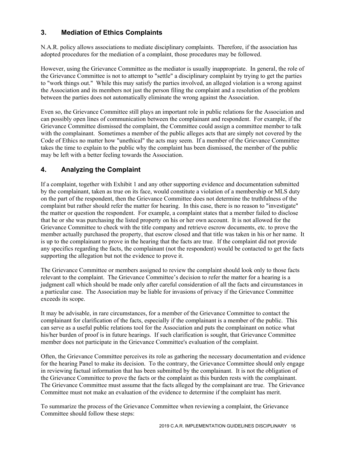# **3. Mediation of Ethics Complaints**

N.A.R. policy allows associations to mediate disciplinary complaints. Therefore, if the association has adopted procedures for the mediation of a complaint, those procedures may be followed.

However, using the Grievance Committee as the mediator is usually inappropriate. In general, the role of the Grievance Committee is not to attempt to "settle" a disciplinary complaint by trying to get the parties to "work things out." While this may satisfy the parties involved, an alleged violation is a wrong against the Association and its members not just the person filing the complaint and a resolution of the problem between the parties does not automatically eliminate the wrong against the Association.

Even so, the Grievance Committee still plays an important role in public relations for the Association and can possibly open lines of communication between the complainant and respondent. For example, if the Grievance Committee dismissed the complaint, the Committee could assign a committee member to talk with the complainant. Sometimes a member of the public alleges acts that are simply not covered by the Code of Ethics no matter how "unethical" the acts may seem. If a member of the Grievance Committee takes the time to explain to the public why the complaint has been dismissed, the member of the public may be left with a better feeling towards the Association.

# **4. Analyzing the Complaint**

If a complaint, together with Exhibit 1 and any other supporting evidence and documentation submitted by the complainant, taken as true on its face, would constitute a violation of a membership or MLS duty on the part of the respondent, then the Grievance Committee does not determine the truthfulness of the complaint but rather should refer the matter for hearing. In this case, there is no reason to "investigate" the matter or question the respondent. For example, a complaint states that a member failed to disclose that he or she was purchasing the listed property on his or her own account. It is not allowed for the Grievance Committee to check with the title company and retrieve escrow documents, etc. to prove the member actually purchased the property, that escrow closed and that title was taken in his or her name. It is up to the complainant to prove in the hearing that the facts are true. If the complaint did not provide any specifics regarding the facts, the complainant (not the respondent) would be contacted to get the facts supporting the allegation but not the evidence to prove it.

The Grievance Committee or members assigned to review the complaint should look only to those facts relevant to the complaint. The Grievance Committee's decision to refer the matter for a hearing is a judgment call which should be made only after careful consideration of all the facts and circumstances in a particular case. The Association may be liable for invasions of privacy if the Grievance Committee exceeds its scope.

It may be advisable, in rare circumstances, for a member of the Grievance Committee to contact the complainant for clarification of the facts, especially if the complainant is a member of the public. This can serve as a useful public relations tool for the Association and puts the complainant on notice what his/her burden of proof is in future hearings. If such clarification is sought, that Grievance Committee member does not participate in the Grievance Committee's evaluation of the complaint.

Often, the Grievance Committee perceives its role as gathering the necessary documentation and evidence for the hearing Panel to make its decision. To the contrary, the Grievance Committee should only engage in reviewing factual information that has been submitted by the complainant. It is not the obligation of the Grievance Committee to prove the facts or the complaint as this burden rests with the complainant. The Grievance Committee must assume that the facts alleged by the complainant are true. The Grievance Committee must not make an evaluation of the evidence to determine if the complaint has merit.

To summarize the process of the Grievance Committee when reviewing a complaint, the Grievance Committee should follow these steps: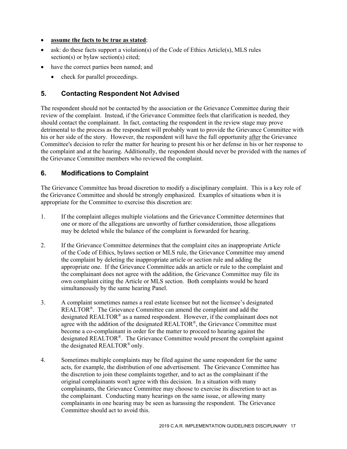#### **assume the facts to be true as stated**;

- $\bullet$  ask: do these facts support a violation(s) of the Code of Ethics Article(s), MLS rules section(s) or bylaw section(s) cited;
- have the correct parties been named; and
	- check for parallel proceedings.

#### **5. Contacting Respondent Not Advised**

The respondent should not be contacted by the association or the Grievance Committee during their review of the complaint. Instead, if the Grievance Committee feels that clarification is needed, they should contact the complainant. In fact, contacting the respondent in the review stage may prove detrimental to the process as the respondent will probably want to provide the Grievance Committee with his or her side of the story. However, the respondent will have the full opportunity after the Grievance Committee's decision to refer the matter for hearing to present his or her defense in his or her response to the complaint and at the hearing. Additionally, the respondent should never be provided with the names of the Grievance Committee members who reviewed the complaint.

#### **6. Modifications to Complaint**

The Grievance Committee has broad discretion to modify a disciplinary complaint. This is a key role of the Grievance Committee and should be strongly emphasized. Examples of situations when it is appropriate for the Committee to exercise this discretion are:

- 1. If the complaint alleges multiple violations and the Grievance Committee determines that one or more of the allegations are unworthy of further consideration, those allegations may be deleted while the balance of the complaint is forwarded for hearing.
- 2. If the Grievance Committee determines that the complaint cites an inappropriate Article of the Code of Ethics, bylaws section or MLS rule, the Grievance Committee may amend the complaint by deleting the inappropriate article or section rule and adding the appropriate one. If the Grievance Committee adds an article or rule to the complaint and the complainant does not agree with the addition, the Grievance Committee may file its own complaint citing the Article or MLS section. Both complaints would be heard simultaneously by the same hearing Panel.
- 3. A complaint sometimes names a real estate licensee but not the licensee's designated REALTOR®. The Grievance Committee can amend the complaint and add the designated REALTOR<sup>®</sup> as a named respondent. However, if the complainant does not agree with the addition of the designated REALTOR<sup>®</sup>, the Grievance Committee must become a co-complainant in order for the matter to proceed to hearing against the designated REALTOR®. The Grievance Committee would present the complaint against the designated REALTOR® only.
- 4. Sometimes multiple complaints may be filed against the same respondent for the same acts, for example, the distribution of one advertisement. The Grievance Committee has the discretion to join these complaints together, and to act as the complainant if the original complainants won't agree with this decision. In a situation with many complainants, the Grievance Committee may choose to exercise its discretion to act as the complainant. Conducting many hearings on the same issue, or allowing many complainants in one hearing may be seen as harassing the respondent. The Grievance Committee should act to avoid this.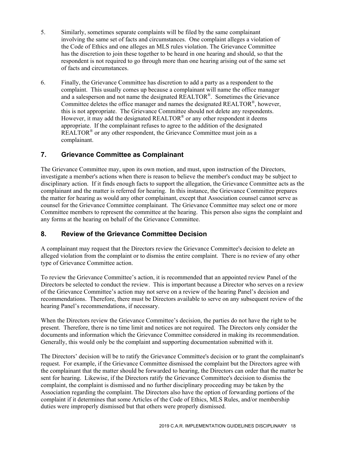- 5. Similarly, sometimes separate complaints will be filed by the same complainant involving the same set of facts and circumstances. One complaint alleges a violation of the Code of Ethics and one alleges an MLS rules violation. The Grievance Committee has the discretion to join these together to be heard in one hearing and should, so that the respondent is not required to go through more than one hearing arising out of the same set of facts and circumstances.
- 6. Finally, the Grievance Committee has discretion to add a party as a respondent to the complaint. This usually comes up because a complainant will name the office manager and a salesperson and not name the designated REALTOR®. Sometimes the Grievance Committee deletes the office manager and names the designated REALTOR<sup>®</sup>, however, this is not appropriate. The Grievance Committee should not delete any respondents. However, it may add the designated REALTOR<sup>®</sup> or any other respondent it deems appropriate. If the complainant refuses to agree to the addition of the designated REALTOR<sup>®</sup> or any other respondent, the Grievance Committee must join as a complainant.

#### **7. Grievance Committee as Complainant**

The Grievance Committee may, upon its own motion, and must, upon instruction of the Directors, investigate a member's actions when there is reason to believe the member's conduct may be subject to disciplinary action. If it finds enough facts to support the allegation, the Grievance Committee acts as the complainant and the matter is referred for hearing. In this instance, the Grievance Committee prepares the matter for hearing as would any other complainant, except that Association counsel cannot serve as counsel for the Grievance Committee complainant. The Grievance Committee may select one or more Committee members to represent the committee at the hearing. This person also signs the complaint and any forms at the hearing on behalf of the Grievance Committee.

#### **8. Review of the Grievance Committee Decision**

A complainant may request that the Directors review the Grievance Committee's decision to delete an alleged violation from the complaint or to dismiss the entire complaint. There is no review of any other type of Grievance Committee action.

To review the Grievance Committee's action, it is recommended that an appointed review Panel of the Directors be selected to conduct the review. This is important because a Director who serves on a review of the Grievance Committee's action may not serve on a review of the hearing Panel's decision and recommendations. Therefore, there must be Directors available to serve on any subsequent review of the hearing Panel's recommendations, if necessary.

When the Directors review the Grievance Committee's decision, the parties do not have the right to be present. Therefore, there is no time limit and notices are not required. The Directors only consider the documents and information which the Grievance Committee considered in making its recommendation. Generally, this would only be the complaint and supporting documentation submitted with it.

The Directors' decision will be to ratify the Grievance Committee's decision or to grant the complainant's request. For example, if the Grievance Committee dismissed the complaint but the Directors agree with the complainant that the matter should be forwarded to hearing, the Directors can order that the matter be sent for hearing. Likewise, if the Directors ratify the Grievance Committee's decision to dismiss the complaint, the complaint is dismissed and no further disciplinary proceeding may be taken by the Association regarding the complaint. The Directors also have the option of forwarding portions of the complaint if it determines that some Articles of the Code of Ethics, MLS Rules, and/or membership duties were improperly dismissed but that others were properly dismissed.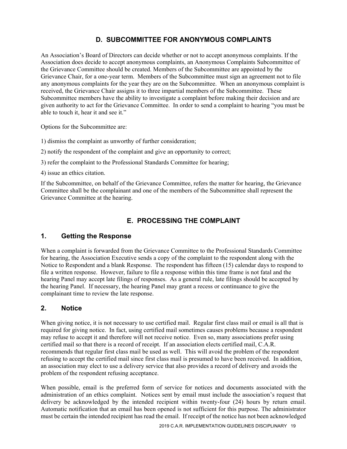# **D. SUBCOMMITTEE FOR ANONYMOUS COMPLAINTS**

An Association's Board of Directors can decide whether or not to accept anonymous complaints. If the Association does decide to accept anonymous complaints, an Anonymous Complaints Subcommittee of the Grievance Committee should be created. Members of the Subcommittee are appointed by the Grievance Chair, for a one-year term. Members of the Subcommittee must sign an agreement not to file any anonymous complaints for the year they are on the Subcommittee. When an anonymous complaint is received, the Grievance Chair assigns it to three impartial members of the Subcommittee. These Subcommittee members have the ability to investigate a complaint before making their decision and are given authority to act for the Grievance Committee. In order to send a complaint to hearing "you must be able to touch it, hear it and see it."

Options for the Subcommittee are:

1) dismiss the complaint as unworthy of further consideration;

2) notify the respondent of the complaint and give an opportunity to correct;

3) refer the complaint to the Professional Standards Committee for hearing;

4) issue an ethics citation.

If the Subcommittee, on behalf of the Grievance Committee, refers the matter for hearing, the Grievance Committee shall be the complainant and one of the members of the Subcommittee shall represent the Grievance Committee at the hearing.

# **E. PROCESSING THE COMPLAINT**

#### **1. Getting the Response**

When a complaint is forwarded from the Grievance Committee to the Professional Standards Committee for hearing, the Association Executive sends a copy of the complaint to the respondent along with the Notice to Respondent and a blank Response. The respondent has fifteen (15) calendar days to respond to file a written response. However, failure to file a response within this time frame is not fatal and the hearing Panel may accept late filings of responses. As a general rule, late filings should be accepted by the hearing Panel. If necessary, the hearing Panel may grant a recess or continuance to give the complainant time to review the late response.

# **2. Notice**

When giving notice, it is not necessary to use certified mail. Regular first class mail or email is all that is required for giving notice. In fact, using certified mail sometimes causes problems because a respondent may refuse to accept it and therefore will not receive notice. Even so, many associations prefer using certified mail so that there is a record of receipt. If an association elects certified mail, C.A.R. recommends that regular first class mail be used as well. This will avoid the problem of the respondent refusing to accept the certified mail since first class mail is presumed to have been received. In addition, an association may elect to use a delivery service that also provides a record of delivery and avoids the problem of the respondent refusing acceptance.

When possible, email is the preferred form of service for notices and documents associated with the administration of an ethics complaint. Notices sent by email must include the association's request that delivery be acknowledged by the intended recipient within twenty-four (24) hours by return email. Automatic notification that an email has been opened is not sufficient for this purpose. The administrator must be certain the intended recipient has read the email. If receipt of the notice has not been acknowledged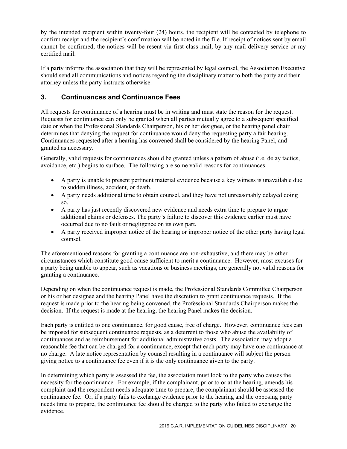by the intended recipient within twenty-four (24) hours, the recipient will be contacted by telephone to confirm receipt and the recipient's confirmation will be noted in the file. If receipt of notices sent by email cannot be confirmed, the notices will be resent via first class mail, by any mail delivery service or my certified mail.

If a party informs the association that they will be represented by legal counsel, the Association Executive should send all communications and notices regarding the disciplinary matter to both the party and their attorney unless the party instructs otherwise.

# **3. Continuances and Continuance Fees**

All requests for continuance of a hearing must be in writing and must state the reason for the request. Requests for continuance can only be granted when all parties mutually agree to a subsequent specified date or when the Professional Standards Chairperson, his or her designee, or the hearing panel chair determines that denying the request for continuance would deny the requesting party a fair hearing. Continuances requested after a hearing has convened shall be considered by the hearing Panel, and granted as necessary.

Generally, valid requests for continuances should be granted unless a pattern of abuse (i.e. delay tactics, avoidance, etc.) begins to surface. The following are some valid reasons for continuances:

- A party is unable to present pertinent material evidence because a key witness is unavailable due to sudden illness, accident, or death.
- A party needs additional time to obtain counsel, and they have not unreasonably delayed doing so.
- A party has just recently discovered new evidence and needs extra time to prepare to argue additional claims or defenses. The party's failure to discover this evidence earlier must have occurred due to no fault or negligence on its own part.
- A party received improper notice of the hearing or improper notice of the other party having legal counsel.

The aforementioned reasons for granting a continuance are non-exhaustive, and there may be other circumstances which constitute good cause sufficient to merit a continuance. However, most excuses for a party being unable to appear, such as vacations or business meetings, are generally not valid reasons for granting a continuance.

Depending on when the continuance request is made, the Professional Standards Committee Chairperson or his or her designee and the hearing Panel have the discretion to grant continuance requests. If the request is made prior to the hearing being convened, the Professional Standards Chairperson makes the decision. If the request is made at the hearing, the hearing Panel makes the decision.

Each party is entitled to one continuance, for good cause, free of charge. However, continuance fees can be imposed for subsequent continuance requests, as a deterrent to those who abuse the availability of continuances and as reimbursement for additional administrative costs. The association may adopt a reasonable fee that can be charged for a continuance, except that each party may have one continuance at no charge. A late notice representation by counsel resulting in a continuance will subject the person giving notice to a continuance fee even if it is the only continuance given to the party.

In determining which party is assessed the fee, the association must look to the party who causes the necessity for the continuance. For example, if the complainant, prior to or at the hearing, amends his complaint and the respondent needs adequate time to prepare, the complainant should be assessed the continuance fee. Or, if a party fails to exchange evidence prior to the hearing and the opposing party needs time to prepare, the continuance fee should be charged to the party who failed to exchange the evidence.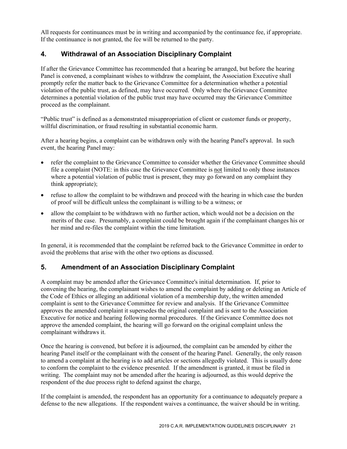All requests for continuances must be in writing and accompanied by the continuance fee, if appropriate. If the continuance is not granted, the fee will be returned to the party.

# **4. Withdrawal of an Association Disciplinary Complaint**

If after the Grievance Committee has recommended that a hearing be arranged, but before the hearing Panel is convened, a complainant wishes to withdraw the complaint, the Association Executive shall promptly refer the matter back to the Grievance Committee for a determination whether a potential violation of the public trust, as defined, may have occurred. Only where the Grievance Committee determines a potential violation of the public trust may have occurred may the Grievance Committee proceed as the complainant.

"Public trust" is defined as a demonstrated misappropriation of client or customer funds or property, willful discrimination, or fraud resulting in substantial economic harm.

After a hearing begins, a complaint can be withdrawn only with the hearing Panel's approval. In such event, the hearing Panel may:

- refer the complaint to the Grievance Committee to consider whether the Grievance Committee should file a complaint (NOTE: in this case the Grievance Committee is not limited to only those instances where a potential violation of public trust is present, they may go forward on any complaint they think appropriate);
- refuse to allow the complaint to be withdrawn and proceed with the hearing in which case the burden of proof will be difficult unless the complainant is willing to be a witness; or
- allow the complaint to be withdrawn with no further action, which would not be a decision on the merits of the case. Presumably, a complaint could be brought again if the complainant changes his or her mind and re-files the complaint within the time limitation.

In general, it is recommended that the complaint be referred back to the Grievance Committee in order to avoid the problems that arise with the other two options as discussed.

# **5. Amendment of an Association Disciplinary Complaint**

A complaint may be amended after the Grievance Committee's initial determination. If, prior to convening the hearing, the complainant wishes to amend the complaint by adding or deleting an Article of the Code of Ethics or alleging an additional violation of a membership duty, the written amended complaint is sent to the Grievance Committee for review and analysis. If the Grievance Committee approves the amended complaint it supersedes the original complaint and is sent to the Association Executive for notice and hearing following normal procedures. If the Grievance Committee does not approve the amended complaint, the hearing will go forward on the original complaint unless the complainant withdraws it.

Once the hearing is convened, but before it is adjourned, the complaint can be amended by either the hearing Panel itself or the complainant with the consent of the hearing Panel. Generally, the only reason to amend a complaint at the hearing is to add articles or sections allegedly violated. This is usually done to conform the complaint to the evidence presented. If the amendment is granted, it must be filed in writing. The complaint may not be amended after the hearing is adjourned, as this would deprive the respondent of the due process right to defend against the charge,

If the complaint is amended, the respondent has an opportunity for a continuance to adequately prepare a defense to the new allegations. If the respondent waives a continuance, the waiver should be in writing.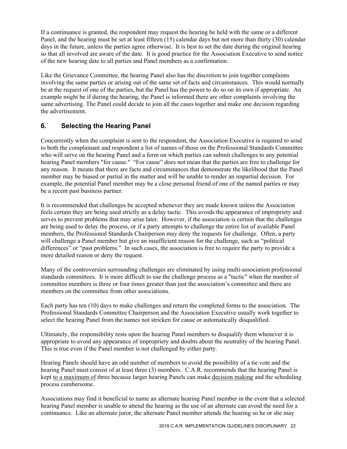If a continuance is granted, the respondent may request the hearing be held with the same or a different Panel, and the hearing must be set at least fifteen (15) calendar days but not more than thirty (30) calendar days in the future, unless the parties agree otherwise. It is best to set the date during the original hearing so that all involved are aware of the date. It is good practice for the Association Executive to send notice of the new hearing date to all parties and Panel members as a confirmation.

Like the Grievance Committee, the hearing Panel also has the discretion to join together complaints involving the same parties or arising out of the same set of facts and circumstances. This would normally be at the request of one of the parties, but the Panel has the power to do so on its own if appropriate. An example might be if during the hearing, the Panel is informed there are other complaints involving the same advertising. The Panel could decide to join all the cases together and make one decision regarding the advertisement.

# **6. Selecting the Hearing Panel**

Concurrently when the complaint is sent to the respondent, the Association Executive is required to send to both the complainant and respondent a list of names of those on the Professional Standards Committee who will serve on the hearing Panel and a form on which parties can submit challenges to any potential hearing Panel members "for cause." "For cause" does not mean that the parties are free to challenge for any reason. It means that there are facts and circumstances that demonstrate the likelihood that the Panel member may be biased or partial in the matter and will be unable to render an impartial decision. For example, the potential Panel member may be a close personal friend of one of the named parties or may be a recent past business partner.

It is recommended that challenges be accepted whenever they are made known unless the Association feels certain they are being used strictly as a delay tactic. This avoids the appearance of impropriety and serves to prevent problems that may arise later. However, if the association is certain that the challenges are being used to delay the process, or if a party attempts to challenge the entire list of available Panel members, the Professional Standards Chairperson may deny the requests for challenge. Often, a party will challenge a Panel member but give an insufficient reason for the challenge, such as "political differences" or "past problems." In such cases, the association is free to require the party to provide a more detailed reason or deny the request.

Many of the controversies surrounding challenges are eliminated by using multi-association professional standards committees. It is more difficult to use the challenge process as a "tactic" when the number of committee members is three or four times greater than just the association's committee and there are members on the committee from other associations.

Each party has ten (10) days to make challenges and return the completed forms to the association. The Professional Standards Committee Chairperson and the Association Executive usually work together to select the hearing Panel from the names not stricken for cause or automatically disqualified.

Ultimately, the responsibility rests upon the hearing Panel members to disqualify them whenever it is appropriate to avoid any appearance of impropriety and doubts about the neutrality of the hearing Panel. This is true even if the Panel member is not challenged by either party.

Hearing Panels should have an odd number of members to avoid the possibility of a tie vote and the hearing Panel must consist of at least three (3) members. C.A.R. recommends that the hearing Panel is kept to a maximum of three because larger hearing Panels can make decision making and the scheduling process cumbersome.

Associations may find it beneficial to name an alternate hearing Panel member in the event that a selected hearing Panel member is unable to attend the hearing as the use of an alternate can avoid the need for a continuance. Like an alternate juror, the alternate Panel member attends the hearing so he or she may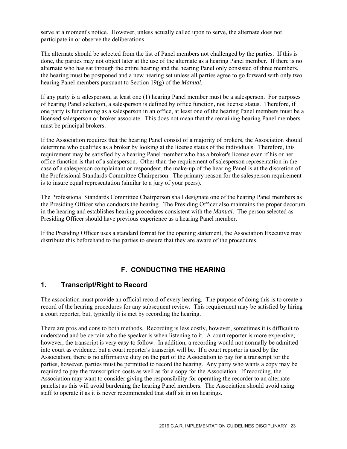serve at a moment's notice. However, unless actually called upon to serve, the alternate does not participate in or observe the deliberations.

The alternate should be selected from the list of Panel members not challenged by the parties. If this is done, the parties may not object later at the use of the alternate as a hearing Panel member. If there is no alternate who has sat through the entire hearing and the hearing Panel only consisted of three members, the hearing must be postponed and a new hearing set unless all parties agree to go forward with only two hearing Panel members pursuant to Section 19(g) of the *Manual*.

If any party is a salesperson, at least one (1) hearing Panel member must be a salesperson. For purposes of hearing Panel selection, a salesperson is defined by office function, not license status. Therefore, if one party is functioning as a salesperson in an office, at least one of the hearing Panel members must be a licensed salesperson or broker associate. This does not mean that the remaining hearing Panel members must be principal brokers.

If the Association requires that the hearing Panel consist of a majority of brokers, the Association should determine who qualifies as a broker by looking at the license status of the individuals. Therefore, this requirement may be satisfied by a hearing Panel member who has a broker's license even if his or her office function is that of a salesperson. Other than the requirement of salesperson representation in the case of a salesperson complainant or respondent, the make-up of the hearing Panel is at the discretion of the Professional Standards Committee Chairperson. The primary reason for the salesperson requirement is to insure equal representation (similar to a jury of your peers).

The Professional Standards Committee Chairperson shall designate one of the hearing Panel members as the Presiding Officer who conducts the hearing. The Presiding Officer also maintains the proper decorum in the hearing and establishes hearing procedures consistent with the *Manual*. The person selected as Presiding Officer should have previous experience as a hearing Panel member.

If the Presiding Officer uses a standard format for the opening statement, the Association Executive may distribute this beforehand to the parties to ensure that they are aware of the procedures.

#### **F. CONDUCTING THE HEARING**

#### **1. Transcript/Right to Record**

The association must provide an official record of every hearing. The purpose of doing this is to create a record of the hearing procedures for any subsequent review. This requirement may be satisfied by hiring a court reporter, but, typically it is met by recording the hearing.

There are pros and cons to both methods. Recording is less costly, however, sometimes it is difficult to understand and be certain who the speaker is when listening to it. A court reporter is more expensive; however, the transcript is very easy to follow. In addition, a recording would not normally be admitted into court as evidence, but a court reporter's transcript will be. If a court reporter is used by the Association, there is no affirmative duty on the part of the Association to pay for a transcript for the parties, however, parties must be permitted to record the hearing. Any party who wants a copy may be required to pay the transcription costs as well as for a copy for the Association. If recording, the Association may want to consider giving the responsibility for operating the recorder to an alternate panelist as this will avoid burdening the hearing Panel members. The Association should avoid using staff to operate it as it is never recommended that staff sit in on hearings.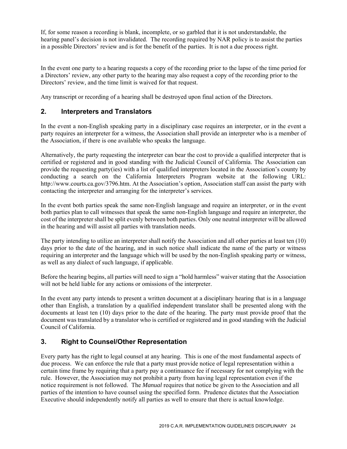If, for some reason a recording is blank, incomplete, or so garbled that it is not understandable, the hearing panel's decision is not invalidated. The recording required by NAR policy is to assist the parties in a possible Directors' review and is for the benefit of the parties. It is not a due process right.

In the event one party to a hearing requests a copy of the recording prior to the lapse of the time period for a Directors' review, any other party to the hearing may also request a copy of the recording prior to the Directors' review, and the time limit is waived for that request.

Any transcript or recording of a hearing shall be destroyed upon final action of the Directors.

#### **2. Interpreters and Translators**

In the event a non-English speaking party in a disciplinary case requires an interpreter, or in the event a party requires an interpreter for a witness, the Association shall provide an interpreter who is a member of the Association, if there is one available who speaks the language.

Alternatively, the party requesting the interpreter can bear the cost to provide a qualified interpreter that is certified or registered and in good standing with the Judicial Council of California. The Association can provide the requesting party(ies) with a list of qualified interpreters located in the Association's county by conducting a search on the California Interpreters Program website at the following URL: http://www.courts.ca.gov/3796.htm. At the Association's option, Association staff can assist the party with contacting the interpreter and arranging for the interpreter's services.

In the event both parties speak the same non-English language and require an interpreter, or in the event both parties plan to call witnesses that speak the same non-English language and require an interpreter, the cost of the interpreter shall be split evenly between both parties. Only one neutral interpreter will be allowed in the hearing and will assist all parties with translation needs.

The party intending to utilize an interpreter shall notify the Association and all other parties at least ten (10) days prior to the date of the hearing, and in such notice shall indicate the name of the party or witness requiring an interpreter and the language which will be used by the non-English speaking party or witness, as well as any dialect of such language, if applicable.

Before the hearing begins, all parties will need to sign a "hold harmless" waiver stating that the Association will not be held liable for any actions or omissions of the interpreter.

In the event any party intends to present a written document at a disciplinary hearing that is in a language other than English, a translation by a qualified independent translator shall be presented along with the documents at least ten (10) days prior to the date of the hearing. The party must provide proof that the document was translated by a translator who is certified or registered and in good standing with the Judicial Council of California.

# **3. Right to Counsel/Other Representation**

Every party has the right to legal counsel at any hearing. This is one of the most fundamental aspects of due process. We can enforce the rule that a party must provide notice of legal representation within a certain time frame by requiring that a party pay a continuance fee if necessary for not complying with the rule. However, the Association may not prohibit a party from having legal representation even if the notice requirement is not followed. The *Manual* requires that notice be given to the Association and all parties of the intention to have counsel using the specified form. Prudence dictates that the Association Executive should independently notify all parties as well to ensure that there is actual knowledge.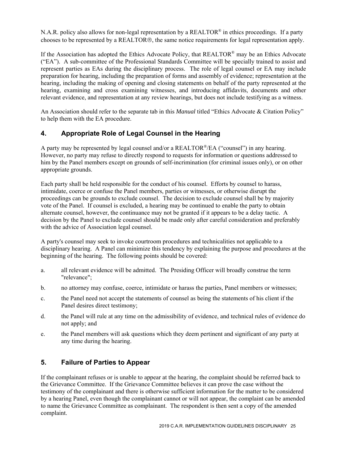N.A.R. policy also allows for non-legal representation by a REALTOR<sup>®</sup> in ethics proceedings. If a party chooses to be represented by a REALTOR®, the same notice requirements for legal representation apply.

If the Association has adopted the Ethics Advocate Policy, that REALTOR® may be an Ethics Advocate ("EA"). A sub-committee of the Professional Standards Committee will be specially trained to assist and represent parties as EAs during the disciplinary process. The role of legal counsel or EA may include preparation for hearing, including the preparation of forms and assembly of evidence; representation at the hearing, including the making of opening and closing statements on behalf of the party represented at the hearing, examining and cross examining witnesses, and introducing affidavits, documents and other relevant evidence, and representation at any review hearings, but does not include testifying as a witness.

An Association should refer to the separate tab in this *Manual* titled "Ethics Advocate & Citation Policy" to help them with the EA procedure.

# **4. Appropriate Role of Legal Counsel in the Hearing**

A party may be represented by legal counsel and/or a  $REALTOR^{\mathcal{B}}/EA$  ("counsel") in any hearing. However, no party may refuse to directly respond to requests for information or questions addressed to him by the Panel members except on grounds of self-incrimination (for criminal issues only), or on other appropriate grounds.

Each party shall be held responsible for the conduct of his counsel. Efforts by counsel to harass, intimidate, coerce or confuse the Panel members, parties or witnesses, or otherwise disrupt the proceedings can be grounds to exclude counsel. The decision to exclude counsel shall be by majority vote of the Panel. If counsel is excluded, a hearing may be continued to enable the party to obtain alternate counsel, however, the continuance may not be granted if it appears to be a delay tactic. A decision by the Panel to exclude counsel should be made only after careful consideration and preferably with the advice of Association legal counsel.

A party's counsel may seek to invoke courtroom procedures and technicalities not applicable to a disciplinary hearing. A Panel can minimize this tendency by explaining the purpose and procedures at the beginning of the hearing. The following points should be covered:

- a. all relevant evidence will be admitted. The Presiding Officer will broadly construe the term "relevance";
- b. no attorney may confuse, coerce, intimidate or harass the parties, Panel members or witnesses;
- c. the Panel need not accept the statements of counsel as being the statements of his client if the Panel desires direct testimony;
- d. the Panel will rule at any time on the admissibility of evidence, and technical rules of evidence do not apply; and
- e. the Panel members will ask questions which they deem pertinent and significant of any party at any time during the hearing.

#### **5. Failure of Parties to Appear**

If the complainant refuses or is unable to appear at the hearing, the complaint should be referred back to the Grievance Committee. If the Grievance Committee believes it can prove the case without the testimony of the complainant and there is otherwise sufficient information for the matter to be considered by a hearing Panel, even though the complainant cannot or will not appear, the complaint can be amended to name the Grievance Committee as complainant. The respondent is then sent a copy of the amended complaint.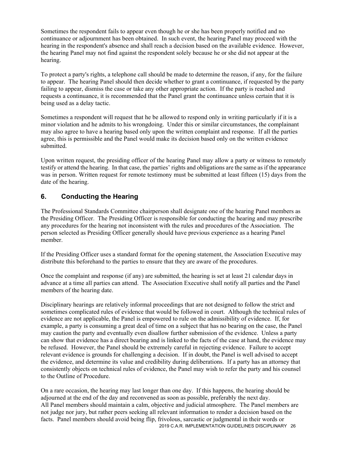Sometimes the respondent fails to appear even though he or she has been properly notified and no continuance or adjournment has been obtained. In such event, the hearing Panel may proceed with the hearing in the respondent's absence and shall reach a decision based on the available evidence. However, the hearing Panel may not find against the respondent solely because he or she did not appear at the hearing.

To protect a party's rights, a telephone call should be made to determine the reason, if any, for the failure to appear. The hearing Panel should then decide whether to grant a continuance, if requested by the party failing to appear, dismiss the case or take any other appropriate action. If the party is reached and requests a continuance, it is recommended that the Panel grant the continuance unless certain that it is being used as a delay tactic.

Sometimes a respondent will request that he be allowed to respond only in writing particularly if it is a minor violation and he admits to his wrongdoing. Under this or similar circumstances, the complainant may also agree to have a hearing based only upon the written complaint and response. If all the parties agree, this is permissible and the Panel would make its decision based only on the written evidence submitted.

Upon written request, the presiding officer of the hearing Panel may allow a party or witness to remotely testify or attend the hearing. In that case, the parties' rights and obligations are the same as if the appearance was in person. Written request for remote testimony must be submitted at least fifteen (15) days from the date of the hearing.

#### **6. Conducting the Hearing**

The Professional Standards Committee chairperson shall designate one of the hearing Panel members as the Presiding Officer. The Presiding Officer is responsible for conducting the hearing and may prescribe any procedures for the hearing not inconsistent with the rules and procedures of the Association. The person selected as Presiding Officer generally should have previous experience as a hearing Panel member.

If the Presiding Officer uses a standard format for the opening statement, the Association Executive may distribute this beforehand to the parties to ensure that they are aware of the procedures.

Once the complaint and response (if any) are submitted, the hearing is set at least 21 calendar days in advance at a time all parties can attend. The Association Executive shall notify all parties and the Panel members of the hearing date.

Disciplinary hearings are relatively informal proceedings that are not designed to follow the strict and sometimes complicated rules of evidence that would be followed in court. Although the technical rules of evidence are not applicable, the Panel is empowered to rule on the admissibility of evidence. If, for example, a party is consuming a great deal of time on a subject that has no bearing on the case, the Panel may caution the party and eventually even disallow further submission of the evidence. Unless a party can show that evidence has a direct bearing and is linked to the facts of the case at hand, the evidence may be refused. However, the Panel should be extremely careful in rejecting evidence. Failure to accept relevant evidence is grounds for challenging a decision. If in doubt, the Panel is well advised to accept the evidence, and determine its value and credibility during deliberations. If a party has an attorney that consistently objects on technical rules of evidence, the Panel may wish to refer the party and his counsel to the Outline of Procedure.

2019 C.A.R. IMPLEMENTATION GUIDELINES DISCIPLINARY 26 On a rare occasion, the hearing may last longer than one day. If this happens, the hearing should be adjourned at the end of the day and reconvened as soon as possible, preferably the next day. All Panel members should maintain a calm, objective and judicial atmosphere. The Panel members are not judge nor jury, but rather peers seeking all relevant information to render a decision based on the facts. Panel members should avoid being flip, frivolous, sarcastic or judgmental in their words or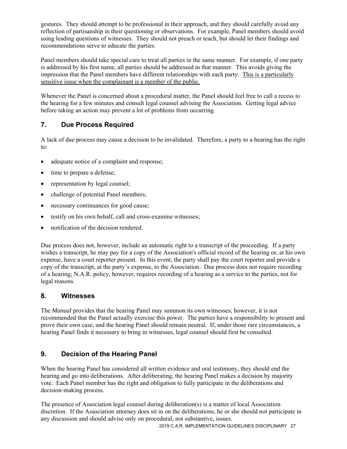gestures. They should attempt to be professional in their approach, and they should carefully avoid any reflection of partisanship in their questioning or observations. For example, Panel members should avoid using leading questions of witnesses. They should not preach or teach, but should let their findings and recommendations serve to educate the parties.

Panel members should take special care to treat all parties in the same manner. For example, if one party is addressed by his first name, all parties should be addressed in that manner. This avoids giving the impression that the Panel members have different relationships with each party. This is a particularly sensitive issue when the complainant is a member of the public.

Whenever the Panel is concerned about a procedural matter, the Panel should feel free to call a recess to the hearing for a few minutes and consult legal counsel advising the Association. Getting legal advice before taking an action may prevent a lot of problems from occurring.

# **7. Due Process Required**

A lack of due process may cause a decision to be invalidated. Therefore, a party to a hearing has the right to:

- adequate notice of a complaint and response;
- time to prepare a defense;
- representation by legal counsel;
- challenge of potential Panel members;
- necessary continuances for good cause;
- testify on his own behalf, call and cross-examine witnesses;
- notification of the decision rendered.

Due process does not, however, include an automatic right to a transcript of the proceeding. If a party wishes a transcript, he may pay for a copy of the Association's official record of the hearing or, at his own expense, have a court reporter present. In this event, the party shall pay the court reporter and provide a copy of the transcript, at the party's expense, to the Association. Due process does not require recording of a hearing; N.A.R. policy, however, requires recording of a hearing as a service to the parties, not for legal reasons.

#### **8. Witnesses**

The *Manual* provides that the hearing Panel may summon its own witnesses; however, it is not recommended that the Panel actually exercise this power. The parties have a responsibility to present and prove their own case, and the hearing Panel should remain neutral. If, under those rare circumstances, a hearing Panel finds it necessary to bring in witnesses, legal counsel should first be consulted.

# **9. Decision of the Hearing Panel**

When the hearing Panel has considered all written evidence and oral testimony, they should end the hearing and go into deliberations. After deliberating, the hearing Panel makes a decision by majority vote. Each Panel member has the right and obligation to fully participate in the deliberations and decision-making process.

The presence of Association legal counsel during deliberation(s) is a matter of local Association discretion. If the Association attorney does sit in on the deliberations, he or she should not participate in any discussion and should advise only on procedural, not substantive, issues.

2019 C.A.R. IMPLEMENTATION GUIDELINES DISCIPLINARY 27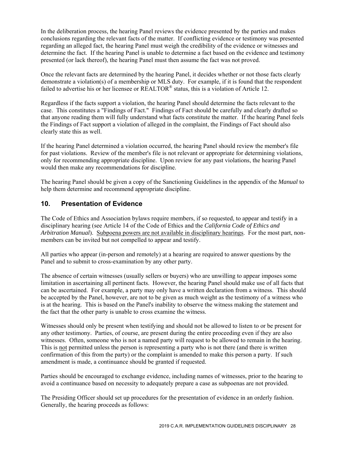In the deliberation process, the hearing Panel reviews the evidence presented by the parties and makes conclusions regarding the relevant facts of the matter. If conflicting evidence or testimony was presented regarding an alleged fact, the hearing Panel must weigh the credibility of the evidence or witnesses and determine the fact. If the hearing Panel is unable to determine a fact based on the evidence and testimony presented (or lack thereof), the hearing Panel must then assume the fact was not proved.

Once the relevant facts are determined by the hearing Panel, it decides whether or not those facts clearly demonstrate a violation(s) of a membership or MLS duty. For example, if it is found that the respondent failed to advertise his or her licensee or REALTOR<sup>®</sup> status, this is a violation of Article 12.

Regardless if the facts support a violation, the hearing Panel should determine the facts relevant to the case. This constitutes a "Findings of Fact." Findings of Fact should be carefully and clearly drafted so that anyone reading them will fully understand what facts constitute the matter. If the hearing Panel feels the Findings of Fact support a violation of alleged in the complaint, the Findings of Fact should also clearly state this as well.

If the hearing Panel determined a violation occurred, the hearing Panel should review the member's file for past violations. Review of the member's file is not relevant or appropriate for determining violations, only for recommending appropriate discipline. Upon review for any past violations, the hearing Panel would then make any recommendations for discipline.

The hearing Panel should be given a copy of the Sanctioning Guidelines in the appendix of the *Manual* to help them determine and recommend appropriate discipline.

#### **10. Presentation of Evidence**

The Code of Ethics and Association bylaws require members, if so requested, to appear and testify in a disciplinary hearing (see Article 14 of the Code of Ethics and the *California Code of Ethics and Arbitration Manual*). Subpoena powers are not available in disciplinary hearings. For the most part, nonmembers can be invited but not compelled to appear and testify.

All parties who appear (in-person and remotely) at a hearing are required to answer questions by the Panel and to submit to cross-examination by any other party.

The absence of certain witnesses (usually sellers or buyers) who are unwilling to appear imposes some limitation in ascertaining all pertinent facts. However, the hearing Panel should make use of all facts that can be ascertained. For example, a party may only have a written declaration from a witness. This should be accepted by the Panel, however, are not to be given as much weight as the testimony of a witness who is at the hearing. This is based on the Panel's inability to observe the witness making the statement and the fact that the other party is unable to cross examine the witness.

Witnesses should only be present when testifying and should not be allowed to listen to or be present for any other testimony. Parties, of course, are present during the entire proceeding even if they are also witnesses. Often, someone who is not a named party will request to be allowed to remain in the hearing. This is not permitted unless the person is representing a party who is not there (and there is written confirmation of this from the party) or the complaint is amended to make this person a party. If such amendment is made, a continuance should be granted if requested.

Parties should be encouraged to exchange evidence, including names of witnesses, prior to the hearing to avoid a continuance based on necessity to adequately prepare a case as subpoenas are not provided.

The Presiding Officer should set up procedures for the presentation of evidence in an orderly fashion. Generally, the hearing proceeds as follows: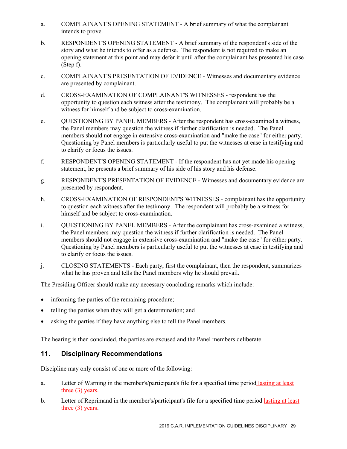- a. COMPLAINANT'S OPENING STATEMENT A brief summary of what the complainant intends to prove.
- b. RESPONDENT'S OPENING STATEMENT A brief summary of the respondent's side of the story and what he intends to offer as a defense. The respondent is not required to make an opening statement at this point and may defer it until after the complainant has presented his case (Step f).
- c. COMPLAINANT'S PRESENTATION OF EVIDENCE Witnesses and documentary evidence are presented by complainant.
- d. CROSS-EXAMINATION OF COMPLAINANT'S WITNESSES respondent has the opportunity to question each witness after the testimony. The complainant will probably be a witness for himself and be subject to cross-examination.
- e. QUESTIONING BY PANEL MEMBERS After the respondent has cross-examined a witness, the Panel members may question the witness if further clarification is needed. The Panel members should not engage in extensive cross-examination and "make the case" for either party. Questioning by Panel members is particularly useful to put the witnesses at ease in testifying and to clarify or focus the issues.
- f. RESPONDENT'S OPENING STATEMENT If the respondent has not yet made his opening statement, he presents a brief summary of his side of his story and his defense.
- g. RESPONDENT'S PRESENTATION OF EVIDENCE Witnesses and documentary evidence are presented by respondent.
- h. CROSS-EXAMINATION OF RESPONDENT'S WITNESSES complainant has the opportunity to question each witness after the testimony. The respondent will probably be a witness for himself and be subject to cross-examination.
- i. QUESTIONING BY PANEL MEMBERS After the complainant has cross-examined a witness, the Panel members may question the witness if further clarification is needed. The Panel members should not engage in extensive cross-examination and "make the case" for either party. Questioning by Panel members is particularly useful to put the witnesses at ease in testifying and to clarify or focus the issues.
- j. CLOSING STATEMENTS Each party, first the complainant, then the respondent, summarizes what he has proven and tells the Panel members why he should prevail.

The Presiding Officer should make any necessary concluding remarks which include:

- informing the parties of the remaining procedure;
- telling the parties when they will get a determination; and
- asking the parties if they have anything else to tell the Panel members.

The hearing is then concluded, the parties are excused and the Panel members deliberate.

#### **11. Disciplinary Recommendations**

Discipline may only consist of one or more of the following:

- a. Letter of Warning in the member's/participant's file for a specified time period lasting at least three (3) years.
- b. Letter of Reprimand in the member's/participant's file for a specified time period lasting at least three (3) years.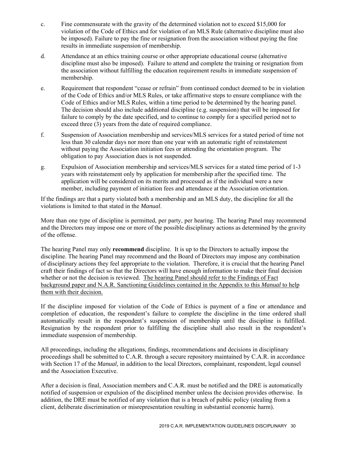- c. Fine commensurate with the gravity of the determined violation not to exceed \$15,000 for violation of the Code of Ethics and for violation of an MLS Rule (alternative discipline must also be imposed). Failure to pay the fine or resignation from the association without paying the fine results in immediate suspension of membership.
- d. Attendance at an ethics training course or other appropriate educational course (alternative discipline must also be imposed). Failure to attend and complete the training or resignation from the association without fulfilling the education requirement results in immediate suspension of membership.
- e. Requirement that respondent "cease or refrain" from continued conduct deemed to be in violation of the Code of Ethics and/or MLS Rules, or take affirmative steps to ensure compliance with the Code of Ethics and/or MLS Rules, within a time period to be determined by the hearing panel. The decision should also include additional discipline (e.g. suspension) that will be imposed for failure to comply by the date specified, and to continue to comply for a specified period not to exceed three (3) years from the date of required compliance.
- f. Suspension of Association membership and services/MLS services for a stated period of time not less than 30 calendar days nor more than one year with an automatic right of reinstatement without paying the Association initiation fees or attending the orientation program. The obligation to pay Association dues is not suspended.
- g. Expulsion of Association membership and services/MLS services for a stated time period of 1-3 years with reinstatement only by application for membership after the specified time. The application will be considered on its merits and processed as if the individual were a new member, including payment of initiation fees and attendance at the Association orientation.

If the findings are that a party violated both a membership and an MLS duty, the discipline for all the violations is limited to that stated in the *Manual*.

More than one type of discipline is permitted, per party, per hearing. The hearing Panel may recommend and the Directors may impose one or more of the possible disciplinary actions as determined by the gravity of the offense.

The hearing Panel may only **recommend** discipline. It is up to the Directors to actually impose the discipline. The hearing Panel may recommend and the Board of Directors may impose any combination of disciplinary actions they feel appropriate to the violation. Therefore, it is crucial that the hearing Panel craft their findings of fact so that the Directors will have enough information to make their final decision whether or not the decision is reviewed. The hearing Panel should refer to the Findings of Fact background paper and N.A.R. Sanctioning Guidelines contained in the Appendix to this *Manual* to help them with their decision.

If the discipline imposed for violation of the Code of Ethics is payment of a fine or attendance and completion of education, the respondent's failure to complete the discipline in the time ordered shall automatically result in the respondent's suspension of membership until the discipline is fulfilled. Resignation by the respondent prior to fulfilling the discipline shall also result in the respondent's immediate suspension of membership.

All proceedings, including the allegations, findings, recommendations and decisions in disciplinary proceedings shall be submitted to C.A.R. through a secure repository maintained by C.A.R. in accordance with Section 17 of the *Manual*, in addition to the local Directors, complainant, respondent, legal counsel and the Association Executive.

After a decision is final, Association members and C.A.R. must be notified and the DRE is automatically notified of suspension or expulsion of the disciplined member unless the decision provides otherwise. In addition, the DRE must be notified of any violation that is a breach of public policy (stealing from a client, deliberate discrimination or misrepresentation resulting in substantial economic harm).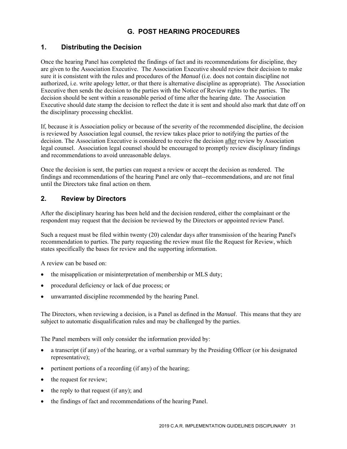# **G. POST HEARING PROCEDURES**

#### **1. Distributing the Decision**

Once the hearing Panel has completed the findings of fact and its recommendations for discipline, they are given to the Association Executive. The Association Executive should review their decision to make sure it is consistent with the rules and procedures of the *Manual* (i.e. does not contain discipline not authorized, i.e. write apology letter, or that there is alternative discipline as appropriate). The Association Executive then sends the decision to the parties with the Notice of Review rights to the parties. The decision should be sent within a reasonable period of time after the hearing date. The Association Executive should date stamp the decision to reflect the date it is sent and should also mark that date off on the disciplinary processing checklist.

If, because it is Association policy or because of the severity of the recommended discipline, the decision is reviewed by Association legal counsel, the review takes place prior to notifying the parties of the decision. The Association Executive is considered to receive the decision after review by Association legal counsel. Association legal counsel should be encouraged to promptly review disciplinary findings and recommendations to avoid unreasonable delays.

Once the decision is sent, the parties can request a review or accept the decision as rendered. The findings and recommendations of the hearing Panel are only that--recommendations, and are not final until the Directors take final action on them.

#### **2. Review by Directors**

After the disciplinary hearing has been held and the decision rendered, either the complainant or the respondent may request that the decision be reviewed by the Directors or appointed review Panel.

Such a request must be filed within twenty (20) calendar days after transmission of the hearing Panel's recommendation to parties. The party requesting the review must file the Request for Review, which states specifically the bases for review and the supporting information.

A review can be based on:

- the misapplication or misinterpretation of membership or MLS duty;
- procedural deficiency or lack of due process; or
- unwarranted discipline recommended by the hearing Panel.

The Directors, when reviewing a decision, is a Panel as defined in the *Manual*. This means that they are subject to automatic disqualification rules and may be challenged by the parties.

The Panel members will only consider the information provided by:

- a transcript (if any) of the hearing, or a verbal summary by the Presiding Officer (or his designated representative);
- pertinent portions of a recording (if any) of the hearing;
- the request for review;
- the reply to that request (if any); and
- the findings of fact and recommendations of the hearing Panel.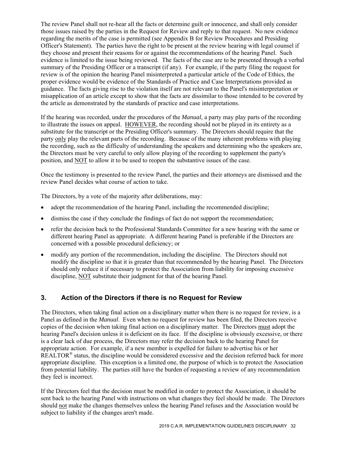The review Panel shall not re-hear all the facts or determine guilt or innocence, and shall only consider those issues raised by the parties in the Request for Review and reply to that request. No new evidence regarding the merits of the case is permitted (see Appendix B for Review Procedures and Presiding Officer's Statement). The parties have the right to be present at the review hearing with legal counsel if they choose and present their reasons for or against the recommendations of the hearing Panel. Such evidence is limited to the issue being reviewed. The facts of the case are to be presented through a verbal summary of the Presiding Officer or a transcript (if any). For example, if the party filing the request for review is of the opinion the hearing Panel misinterpreted a particular article of the Code of Ethics, the proper evidence would be evidence of the Standards of Practice and Case Interpretations provided as guidance. The facts giving rise to the violation itself are not relevant to the Panel's misinterpretation or misapplication of an article except to show that the facts are dissimilar to those intended to be covered by the article as demonstrated by the standards of practice and case interpretations.

If the hearing was recorded, under the procedures of the *Manual*, a party may play parts of the recording to illustrate the issues on appeal. HOWEVER, the recording should not be played in its entirety as a substitute for the transcript or the Presiding Officer's summary. The Directors should require that the party only play the relevant parts of the recording. Because of the many inherent problems with playing the recording, such as the difficulty of understanding the speakers and determining who the speakers are, the Directors must be very careful to only allow playing of the recording to supplement the party's position, and NOT to allow it to be used to reopen the substantive issues of the case.

Once the testimony is presented to the review Panel, the parties and their attorneys are dismissed and the review Panel decides what course of action to take.

The Directors, by a vote of the majority after deliberations, may:

- adopt the recommendation of the hearing Panel, including the recommended discipline;
- dismiss the case if they conclude the findings of fact do not support the recommendation;
- refer the decision back to the Professional Standards Committee for a new hearing with the same or different hearing Panel as appropriate. A different hearing Panel is preferable if the Directors are concerned with a possible procedural deficiency; or
- modify any portion of the recommendation, including the discipline. The Directors should not modify the discipline so that it is greater than that recommended by the hearing Panel. The Directors should only reduce it if necessary to protect the Association from liability for imposing excessive discipline, NOT substitute their judgment for that of the hearing Panel.

#### **3. Action of the Directors if there is no Request for Review**

The Directors, when taking final action on a disciplinary matter when there is no request for review, is a Panel as defined in the *Manual*. Even when no request for review has been filed, the Directors receive copies of the decision when taking final action on a disciplinary matter. The Directors must adopt the hearing Panel's decision unless it is deficient on its face. If the discipline is obviously excessive, or there is a clear lack of due process, the Directors may refer the decision back to the hearing Panel for appropriate action. For example, if a new member is expelled for failure to advertise his or her REALTOR<sup>®</sup> status, the discipline would be considered excessive and the decision referred back for more appropriate discipline. This exception is a limited one, the purpose of which is to protect the Association from potential liability. The parties still have the burden of requesting a review of any recommendation they feel is incorrect.

If the Directors feel that the decision must be modified in order to protect the Association, it should be sent back to the hearing Panel with instructions on what changes they feel should be made. The Directors should not make the changes themselves unless the hearing Panel refuses and the Association would be subject to liability if the changes aren't made.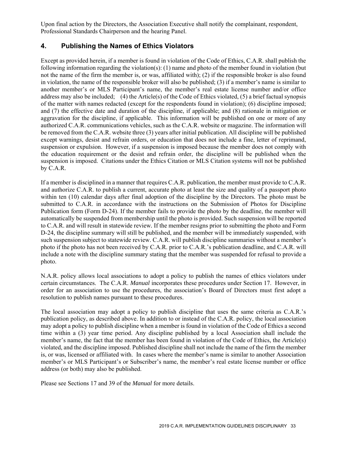Upon final action by the Directors, the Association Executive shall notify the complainant, respondent, Professional Standards Chairperson and the hearing Panel.

#### **4. Publishing the Names of Ethics Violators**

Except as provided herein, if a member is found in violation of the Code of Ethics, C.A.R. shall publish the following information regarding the violation(s): (1) name and photo of the member found in violation (but not the name of the firm the member is, or was, affiliated with); (2) if the responsible broker is also found in violation, the name of the responsible broker will also be published; (3) if a member's name is similar to another member's or MLS Participant's name, the member's real estate license number and/or office address may also be included; (4) the Article(s) of the Code of Ethics violated, (5) a brief factual synopsis of the matter with names redacted (except for the respondents found in violation); (6) discipline imposed; and (7) the effective date and duration of the discipline, if applicable; and (8) rationale in mitigation or aggravation for the discipline, if applicable. This information will be published on one or more of any authorized C.A.R. communications vehicles, such as the C.A.R. website or magazine. The information will be removed from the C.A.R. website three (3) years after initial publication. All discipline will be published except warnings, desist and refrain orders, or education that does not include a fine, letter of reprimand, suspension or expulsion. However, if a suspension is imposed because the member does not comply with the education requirement or the desist and refrain order, the discipline will be published when the suspension is imposed. Citations under the Ethics Citation or MLS Citation systems will not be published by C.A.R.

If a member is disciplined in a manner that requires C.A.R. publication, the member must provide to C.A.R. and authorize C.A.R. to publish a current, accurate photo at least the size and quality of a passport photo within ten (10) calendar days after final adoption of the discipline by the Directors. The photo must be submitted to C.A.R. in accordance with the instructions on the Submission of Photos for Discipline Publication form (Form D-24). If the member fails to provide the photo by the deadline, the member will automatically be suspended from membership until the photo is provided. Such suspension will be reported to C.A.R. and will result in statewide review*.* If the member resigns prior to submitting the photo and Form D-24, the discipline summary will still be published, and the member will be immediately suspended, with such suspension subject to statewide review. C.A.R. will publish discipline summaries without a member's photo if the photo has not been received by C.A.R. prior to C.A.R.'s publication deadline, and C.A.R. will include a note with the discipline summary stating that the member was suspended for refusal to provide a photo.

N.A.R. policy allows local associations to adopt a policy to publish the names of ethics violators under certain circumstances. The C.A.R. *Manual* incorporates these procedures under Section 17. However, in order for an association to use the procedures, the association's Board of Directors must first adopt a resolution to publish names pursuant to these procedures.

The local association may adopt a policy to publish discipline that uses the same criteria as C.A.R.'s publication policy, as described above. In addition to or instead of the C.A.R. policy, the local association may adopt a policy to publish discipline when a member is found in violation of the Code of Ethics a second time within a (3) year time period. Any discipline published by a local Association shall include the member's name, the fact that the member has been found in violation of the Code of Ethics, the Article(s) violated, and the discipline imposed. Published discipline shall not include the name of the firm the member is, or was, licensed or affiliated with. In cases where the member's name is similar to another Association member's or MLS Participant's or Subscriber's name, the member's real estate license number or office address (or both) may also be published.

Please see Sections 17 and 39 of the *Manual* for more details.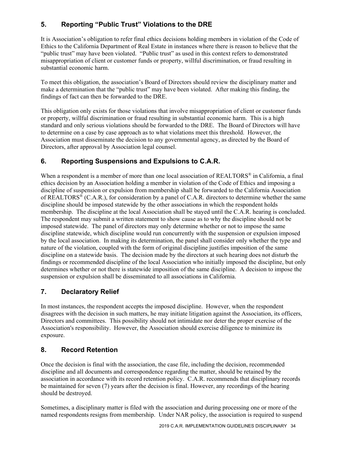# **5. Reporting "Public Trust" Violations to the DRE**

It is Association's obligation to refer final ethics decisions holding members in violation of the Code of Ethics to the California Department of Real Estate in instances where there is reason to believe that the "public trust" may have been violated. "Public trust" as used in this context refers to demonstrated misappropriation of client or customer funds or property, willful discrimination, or fraud resulting in substantial economic harm.

To meet this obligation, the association's Board of Directors should review the disciplinary matter and make a determination that the "public trust" may have been violated. After making this finding, the findings of fact can then be forwarded to the DRE.

This obligation only exists for those violations that involve misappropriation of client or customer funds or property, willful discrimination or fraud resulting in substantial economic harm. This is a high standard and only serious violations should be forwarded to the DRE. The Board of Directors will have to determine on a case by case approach as to what violations meet this threshold. However, the Association must disseminate the decision to any governmental agency, as directed by the Board of Directors, after approval by Association legal counsel.

# **6. Reporting Suspensions and Expulsions to C.A.R.**

When a respondent is a member of more than one local association of REALTORS<sup>®</sup> in California, a final ethics decision by an Association holding a member in violation of the Code of Ethics and imposing a discipline of suspension or expulsion from membership shall be forwarded to the California Association of REALTORS® (C.A.R.), for consideration by a panel of C.A.R. directors to determine whether the same discipline should be imposed statewide by the other associations in which the respondent holds membership. The discipline at the local Association shall be stayed until the C.A.R. hearing is concluded. The respondent may submit a written statement to show cause as to why the discipline should not be imposed statewide. The panel of directors may only determine whether or not to impose the same discipline statewide, which discipline would run concurrently with the suspension or expulsion imposed by the local association. In making its determination, the panel shall consider only whether the type and nature of the violation, coupled with the form of original discipline justifies imposition of the same discipline on a statewide basis. The decision made by the directors at such hearing does not disturb the findings or recommended discipline of the local Association who initially imposed the discipline, but only determines whether or not there is statewide imposition of the same discipline. A decision to impose the suspension or expulsion shall be disseminated to all associations in California.

# **7. Declaratory Relief**

In most instances, the respondent accepts the imposed discipline. However, when the respondent disagrees with the decision in such matters, he may initiate litigation against the Association, its officers, Directors and committees. This possibility should not intimidate nor deter the proper exercise of the Association's responsibility. However, the Association should exercise diligence to minimize its exposure.

# **8. Record Retention**

Once the decision is final with the association, the case file, including the decision, recommended discipline and all documents and correspondence regarding the matter, should be retained by the association in accordance with its record retention policy. C.A.R. recommends that disciplinary records be maintained for seven (7) years after the decision is final. However, any recordings of the hearing should be destroyed.

Sometimes, a disciplinary matter is filed with the association and during processing one or more of the named respondents resigns from membership. Under NAR policy, the association is required to suspend